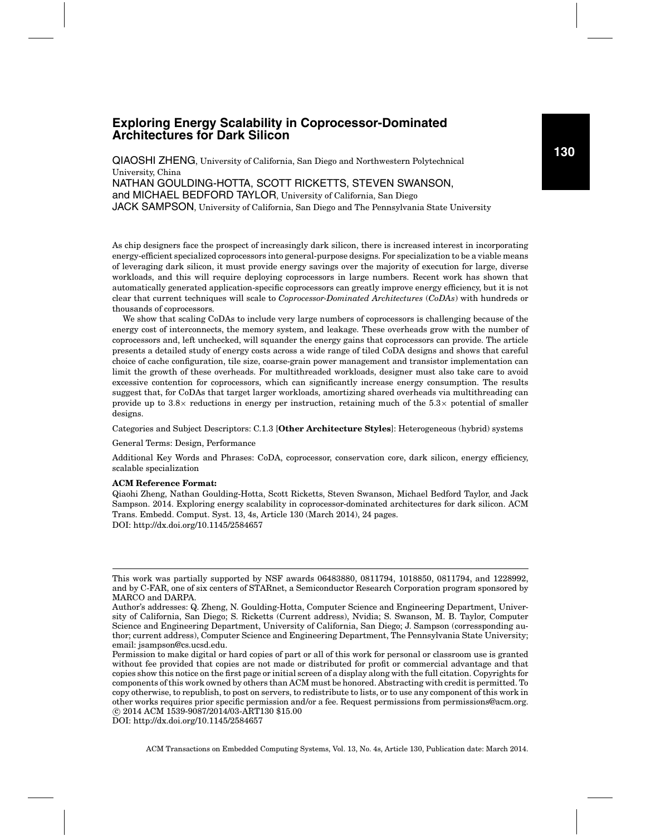# **Exploring Energy Scalability in Coprocessor-Dominated Architectures for Dark Silicon**

QIAOSHI ZHENG, University of California, San Diego and Northwestern Polytechnical University, China NATHAN GOULDING-HOTTA, SCOTT RICKETTS, STEVEN SWANSON, and MICHAEL BEDFORD TAYLOR, University of California, San Diego JACK SAMPSON, University of California, San Diego and The Pennsylvania State University

As chip designers face the prospect of increasingly dark silicon, there is increased interest in incorporating energy-efficient specialized coprocessors into general-purpose designs. For specialization to be a viable means of leveraging dark silicon, it must provide energy savings over the majority of execution for large, diverse workloads, and this will require deploying coprocessors in large numbers. Recent work has shown that automatically generated application-specific coprocessors can greatly improve energy efficiency, but it is not clear that current techniques will scale to *Coprocessor-Dominated Architectures* (*CoDAs*) with hundreds or thousands of coprocessors.

We show that scaling CoDAs to include very large numbers of coprocessors is challenging because of the energy cost of interconnects, the memory system, and leakage. These overheads grow with the number of coprocessors and, left unchecked, will squander the energy gains that coprocessors can provide. The article presents a detailed study of energy costs across a wide range of tiled CoDA designs and shows that careful choice of cache configuration, tile size, coarse-grain power management and transistor implementation can limit the growth of these overheads. For multithreaded workloads, designer must also take care to avoid excessive contention for coprocessors, which can significantly increase energy consumption. The results suggest that, for CoDAs that target larger workloads, amortizing shared overheads via multithreading can provide up to  $3.8\times$  reductions in energy per instruction, retaining much of the  $5.3\times$  potential of smaller designs.

Categories and Subject Descriptors: C.1.3 [**Other Architecture Styles**]: Heterogeneous (hybrid) systems

General Terms: Design, Performance

Additional Key Words and Phrases: CoDA, coprocessor, conservation core, dark silicon, energy efficiency, scalable specialization

#### **ACM Reference Format:**

Qiaohi Zheng, Nathan Goulding-Hotta, Scott Ricketts, Steven Swanson, Michael Bedford Taylor, and Jack Sampson. 2014. Exploring energy scalability in coprocessor-dominated architectures for dark silicon. ACM Trans. Embedd. Comput. Syst. 13, 4s, Article 130 (March 2014), 24 pages. DOI: http://dx.doi.org/10.1145/2584657

DOI: http://dx.doi.org/10.1145/2584657

**130**

This work was partially supported by NSF awards 06483880, 0811794, 1018850, 0811794, and 1228992, and by C-FAR, one of six centers of STARnet, a Semiconductor Research Corporation program sponsored by MARCO and DARPA.

Author's addresses: Q. Zheng, N. Goulding-Hotta, Computer Science and Engineering Department, University of California, San Diego; S. Ricketts (Current address), Nvidia; S. Swanson, M. B. Taylor, Computer Science and Engineering Department, University of California, San Diego; J. Sampson (corressponding author; current address), Computer Science and Engineering Department, The Pennsylvania State University; email: jsampson@cs.ucsd.edu.

Permission to make digital or hard copies of part or all of this work for personal or classroom use is granted without fee provided that copies are not made or distributed for profit or commercial advantage and that copies show this notice on the first page or initial screen of a display along with the full citation. Copyrights for components of this work owned by others than ACM must be honored. Abstracting with credit is permitted. To copy otherwise, to republish, to post on servers, to redistribute to lists, or to use any component of this work in other works requires prior specific permission and/or a fee. Request permissions from permissions@acm.org. -c 2014 ACM 1539-9087/2014/03-ART130 \$15.00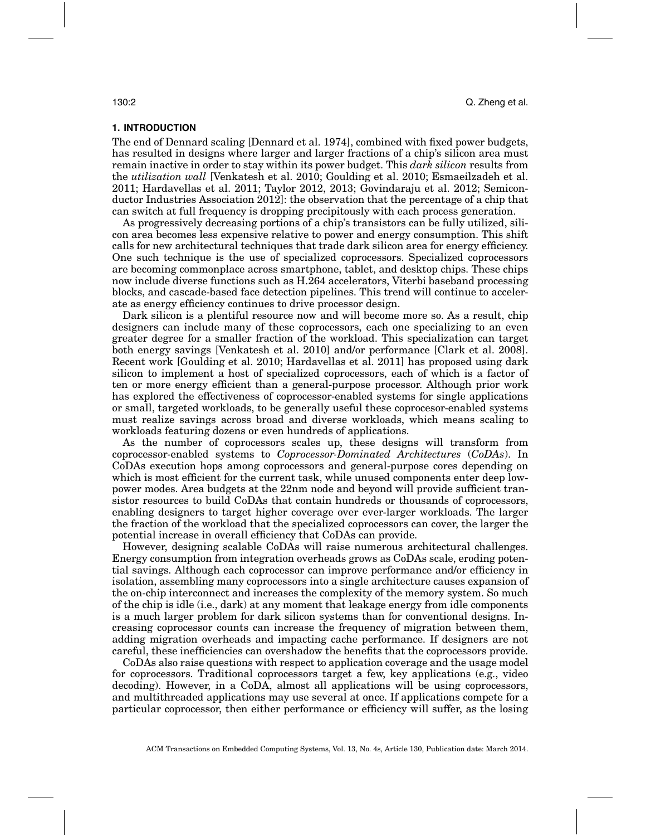# **1. INTRODUCTION**

The end of Dennard scaling [Dennard et al. 1974], combined with fixed power budgets, has resulted in designs where larger and larger fractions of a chip's silicon area must remain inactive in order to stay within its power budget. This *dark silicon* results from the *utilization wall* [Venkatesh et al. 2010; Goulding et al. 2010; Esmaeilzadeh et al. 2011; Hardavellas et al. 2011; Taylor 2012, 2013; Govindaraju et al. 2012; Semiconductor Industries Association 2012]: the observation that the percentage of a chip that can switch at full frequency is dropping precipitously with each process generation.

As progressively decreasing portions of a chip's transistors can be fully utilized, silicon area becomes less expensive relative to power and energy consumption. This shift calls for new architectural techniques that trade dark silicon area for energy efficiency. One such technique is the use of specialized coprocessors. Specialized coprocessors are becoming commonplace across smartphone, tablet, and desktop chips. These chips now include diverse functions such as H.264 accelerators, Viterbi baseband processing blocks, and cascade-based face detection pipelines. This trend will continue to accelerate as energy efficiency continues to drive processor design.

Dark silicon is a plentiful resource now and will become more so. As a result, chip designers can include many of these coprocessors, each one specializing to an even greater degree for a smaller fraction of the workload. This specialization can target both energy savings [Venkatesh et al. 2010] and/or performance [Clark et al. 2008]. Recent work [Goulding et al. 2010; Hardavellas et al. 2011] has proposed using dark silicon to implement a host of specialized coprocessors, each of which is a factor of ten or more energy efficient than a general-purpose processor. Although prior work has explored the effectiveness of coprocessor-enabled systems for single applications or small, targeted workloads, to be generally useful these coprocesor-enabled systems must realize savings across broad and diverse workloads, which means scaling to workloads featuring dozens or even hundreds of applications.

As the number of coprocessors scales up, these designs will transform from coprocessor-enabled systems to *Coprocessor-Dominated Architectures* (*CoDAs*). In CoDAs execution hops among coprocessors and general-purpose cores depending on which is most efficient for the current task, while unused components enter deep lowpower modes. Area budgets at the 22nm node and beyond will provide sufficient transistor resources to build CoDAs that contain hundreds or thousands of coprocessors, enabling designers to target higher coverage over ever-larger workloads. The larger the fraction of the workload that the specialized coprocessors can cover, the larger the potential increase in overall efficiency that CoDAs can provide.

However, designing scalable CoDAs will raise numerous architectural challenges. Energy consumption from integration overheads grows as CoDAs scale, eroding potential savings. Although each coprocessor can improve performance and/or efficiency in isolation, assembling many coprocessors into a single architecture causes expansion of the on-chip interconnect and increases the complexity of the memory system. So much of the chip is idle (i.e., dark) at any moment that leakage energy from idle components is a much larger problem for dark silicon systems than for conventional designs. Increasing coprocessor counts can increase the frequency of migration between them, adding migration overheads and impacting cache performance. If designers are not careful, these inefficiencies can overshadow the benefits that the coprocessors provide.

CoDAs also raise questions with respect to application coverage and the usage model for coprocessors. Traditional coprocessors target a few, key applications (e.g., video decoding). However, in a CoDA, almost all applications will be using coprocessors, and multithreaded applications may use several at once. If applications compete for a particular coprocessor, then either performance or efficiency will suffer, as the losing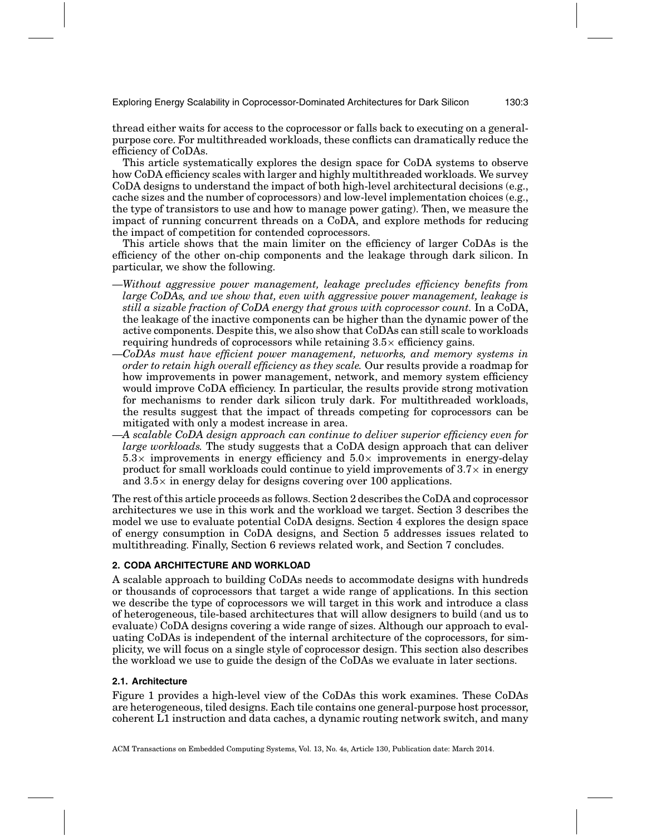Exploring Energy Scalability in Coprocessor-Dominated Architectures for Dark Silicon 130:3

thread either waits for access to the coprocessor or falls back to executing on a generalpurpose core. For multithreaded workloads, these conflicts can dramatically reduce the efficiency of CoDAs.

This article systematically explores the design space for CoDA systems to observe how CoDA efficiency scales with larger and highly multithreaded workloads. We survey CoDA designs to understand the impact of both high-level architectural decisions (e.g., cache sizes and the number of coprocessors) and low-level implementation choices (e.g., the type of transistors to use and how to manage power gating). Then, we measure the impact of running concurrent threads on a CoDA, and explore methods for reducing the impact of competition for contended coprocessors.

This article shows that the main limiter on the efficiency of larger CoDAs is the efficiency of the other on-chip components and the leakage through dark silicon. In particular, we show the following.

- —*Without aggressive power management, leakage precludes efficiency benefits from large CoDAs, and we show that, even with aggressive power management, leakage is still a sizable fraction of CoDA energy that grows with coprocessor count.* In a CoDA, the leakage of the inactive components can be higher than the dynamic power of the active components. Despite this, we also show that CoDAs can still scale to workloads requiring hundreds of coprocessors while retaining  $3.5\times$  efficiency gains.
- —*CoDAs must have efficient power management, networks, and memory systems in order to retain high overall efficiency as they scale.* Our results provide a roadmap for how improvements in power management, network, and memory system efficiency would improve CoDA efficiency. In particular, the results provide strong motivation for mechanisms to render dark silicon truly dark. For multithreaded workloads, the results suggest that the impact of threads competing for coprocessors can be mitigated with only a modest increase in area.
- —*A scalable CoDA design approach can continue to deliver superior efficiency even for large workloads.* The study suggests that a CoDA design approach that can deliver  $5.3\times$  improvements in energy efficiency and  $5.0\times$  improvements in energy-delay product for small workloads could continue to yield improvements of  $3.7\times$  in energy and  $3.5\times$  in energy delay for designs covering over 100 applications.

The rest of this article proceeds as follows. Section 2 describes the CoDA and coprocessor architectures we use in this work and the workload we target. Section 3 describes the model we use to evaluate potential CoDA designs. Section 4 explores the design space of energy consumption in CoDA designs, and Section 5 addresses issues related to multithreading. Finally, Section 6 reviews related work, and Section 7 concludes.

# **2. CODA ARCHITECTURE AND WORKLOAD**

A scalable approach to building CoDAs needs to accommodate designs with hundreds or thousands of coprocessors that target a wide range of applications. In this section we describe the type of coprocessors we will target in this work and introduce a class of heterogeneous, tile-based architectures that will allow designers to build (and us to evaluate) CoDA designs covering a wide range of sizes. Although our approach to evaluating CoDAs is independent of the internal architecture of the coprocessors, for simplicity, we will focus on a single style of coprocessor design. This section also describes the workload we use to guide the design of the CoDAs we evaluate in later sections.

# **2.1. Architecture**

Figure 1 provides a high-level view of the CoDAs this work examines. These CoDAs are heterogeneous, tiled designs. Each tile contains one general-purpose host processor, coherent L1 instruction and data caches, a dynamic routing network switch, and many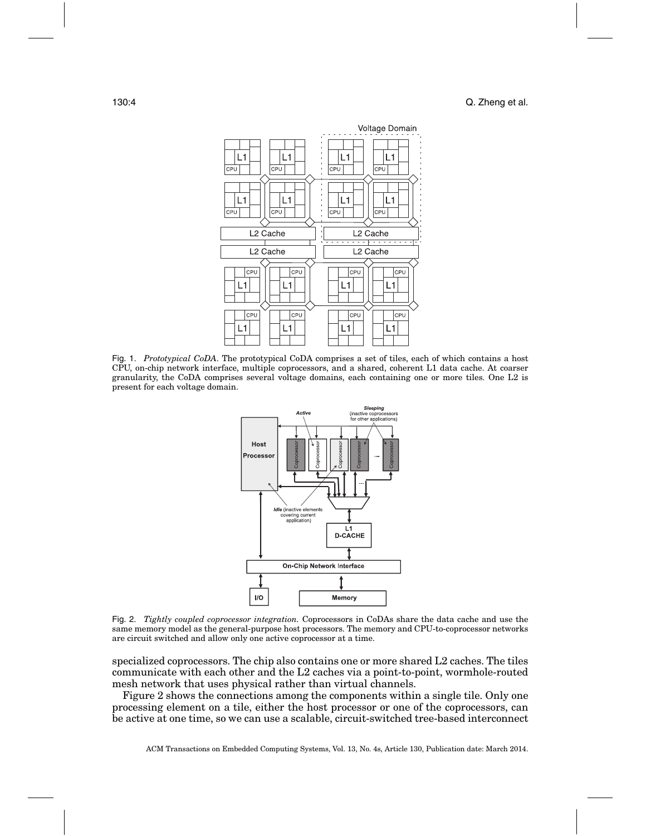

Fig. 1. *Prototypical CoDA*. The prototypical CoDA comprises a set of tiles, each of which contains a host CPU, on-chip network interface, multiple coprocessors, and a shared, coherent L1 data cache. At coarser granularity, the CoDA comprises several voltage domains, each containing one or more tiles. One L2 is present for each voltage domain.



Fig. 2. *Tightly coupled coprocessor integration.* Coprocessors in CoDAs share the data cache and use the same memory model as the general-purpose host processors. The memory and CPU-to-coprocessor networks are circuit switched and allow only one active coprocessor at a time.

specialized coprocessors. The chip also contains one or more shared L2 caches. The tiles communicate with each other and the L2 caches via a point-to-point, wormhole-routed mesh network that uses physical rather than virtual channels.

Figure 2 shows the connections among the components within a single tile. Only one processing element on a tile, either the host processor or one of the coprocessors, can be active at one time, so we can use a scalable, circuit-switched tree-based interconnect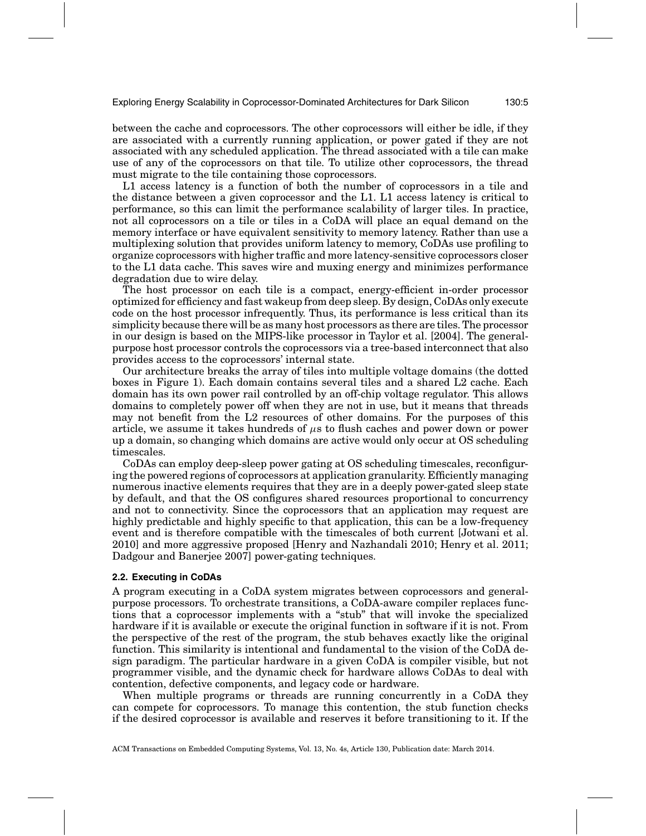between the cache and coprocessors. The other coprocessors will either be idle, if they are associated with a currently running application, or power gated if they are not associated with any scheduled application. The thread associated with a tile can make use of any of the coprocessors on that tile. To utilize other coprocessors, the thread must migrate to the tile containing those coprocessors.

L1 access latency is a function of both the number of coprocessors in a tile and the distance between a given coprocessor and the L1. L1 access latency is critical to performance, so this can limit the performance scalability of larger tiles. In practice, not all coprocessors on a tile or tiles in a CoDA will place an equal demand on the memory interface or have equivalent sensitivity to memory latency. Rather than use a multiplexing solution that provides uniform latency to memory, CoDAs use profiling to organize coprocessors with higher traffic and more latency-sensitive coprocessors closer to the L1 data cache. This saves wire and muxing energy and minimizes performance degradation due to wire delay.

The host processor on each tile is a compact, energy-efficient in-order processor optimized for efficiency and fast wakeup from deep sleep. By design, CoDAs only execute code on the host processor infrequently. Thus, its performance is less critical than its simplicity because there will be as many host processors as there are tiles. The processor in our design is based on the MIPS-like processor in Taylor et al. [2004]. The generalpurpose host processor controls the coprocessors via a tree-based interconnect that also provides access to the coprocessors' internal state.

Our architecture breaks the array of tiles into multiple voltage domains (the dotted boxes in Figure 1). Each domain contains several tiles and a shared L2 cache. Each domain has its own power rail controlled by an off-chip voltage regulator. This allows domains to completely power off when they are not in use, but it means that threads may not benefit from the L2 resources of other domains. For the purposes of this article, we assume it takes hundreds of  $\mu$ s to flush caches and power down or power up a domain, so changing which domains are active would only occur at OS scheduling timescales.

CoDAs can employ deep-sleep power gating at OS scheduling timescales, reconfiguring the powered regions of coprocessors at application granularity. Efficiently managing numerous inactive elements requires that they are in a deeply power-gated sleep state by default, and that the OS configures shared resources proportional to concurrency and not to connectivity. Since the coprocessors that an application may request are highly predictable and highly specific to that application, this can be a low-frequency event and is therefore compatible with the timescales of both current [Jotwani et al. 2010] and more aggressive proposed [Henry and Nazhandali 2010; Henry et al. 2011; Dadgour and Banerjee 2007] power-gating techniques.

#### **2.2. Executing in CoDAs**

A program executing in a CoDA system migrates between coprocessors and generalpurpose processors. To orchestrate transitions, a CoDA-aware compiler replaces functions that a coprocessor implements with a "stub" that will invoke the specialized hardware if it is available or execute the original function in software if it is not. From the perspective of the rest of the program, the stub behaves exactly like the original function. This similarity is intentional and fundamental to the vision of the CoDA design paradigm. The particular hardware in a given CoDA is compiler visible, but not programmer visible, and the dynamic check for hardware allows CoDAs to deal with contention, defective components, and legacy code or hardware.

When multiple programs or threads are running concurrently in a CoDA they can compete for coprocessors. To manage this contention, the stub function checks if the desired coprocessor is available and reserves it before transitioning to it. If the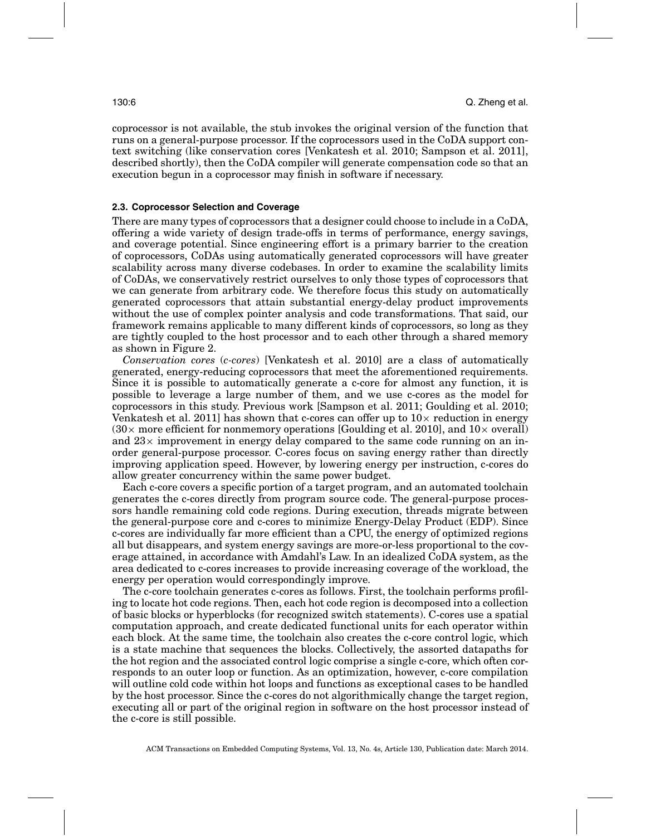coprocessor is not available, the stub invokes the original version of the function that runs on a general-purpose processor. If the coprocessors used in the CoDA support context switching (like conservation cores [Venkatesh et al. 2010; Sampson et al. 2011], described shortly), then the CoDA compiler will generate compensation code so that an execution begun in a coprocessor may finish in software if necessary.

# **2.3. Coprocessor Selection and Coverage**

There are many types of coprocessors that a designer could choose to include in a CoDA, offering a wide variety of design trade-offs in terms of performance, energy savings, and coverage potential. Since engineering effort is a primary barrier to the creation of coprocessors, CoDAs using automatically generated coprocessors will have greater scalability across many diverse codebases. In order to examine the scalability limits of CoDAs, we conservatively restrict ourselves to only those types of coprocessors that we can generate from arbitrary code. We therefore focus this study on automatically generated coprocessors that attain substantial energy-delay product improvements without the use of complex pointer analysis and code transformations. That said, our framework remains applicable to many different kinds of coprocessors, so long as they are tightly coupled to the host processor and to each other through a shared memory as shown in Figure 2.

*Conservation cores* (*c-cores*) [Venkatesh et al. 2010] are a class of automatically generated, energy-reducing coprocessors that meet the aforementioned requirements. Since it is possible to automatically generate a c-core for almost any function, it is possible to leverage a large number of them, and we use c-cores as the model for coprocessors in this study. Previous work [Sampson et al. 2011; Goulding et al. 2010; Venkatesh et al. 2011] has shown that c-cores can offer up to  $10\times$  reduction in energy  $(30\times$  more efficient for nonmemory operations [Goulding et al. 2010], and  $10\times$  overall) and  $23\times$  improvement in energy delay compared to the same code running on an inorder general-purpose processor. C-cores focus on saving energy rather than directly improving application speed. However, by lowering energy per instruction, c-cores do allow greater concurrency within the same power budget.

Each c-core covers a specific portion of a target program, and an automated toolchain generates the c-cores directly from program source code. The general-purpose processors handle remaining cold code regions. During execution, threads migrate between the general-purpose core and c-cores to minimize Energy-Delay Product (EDP). Since c-cores are individually far more efficient than a CPU, the energy of optimized regions all but disappears, and system energy savings are more-or-less proportional to the coverage attained, in accordance with Amdahl's Law. In an idealized CoDA system, as the area dedicated to c-cores increases to provide increasing coverage of the workload, the energy per operation would correspondingly improve.

The c-core toolchain generates c-cores as follows. First, the toolchain performs profiling to locate hot code regions. Then, each hot code region is decomposed into a collection of basic blocks or hyperblocks (for recognized switch statements). C-cores use a spatial computation approach, and create dedicated functional units for each operator within each block. At the same time, the toolchain also creates the c-core control logic, which is a state machine that sequences the blocks. Collectively, the assorted datapaths for the hot region and the associated control logic comprise a single c-core, which often corresponds to an outer loop or function. As an optimization, however, c-core compilation will outline cold code within hot loops and functions as exceptional cases to be handled by the host processor. Since the c-cores do not algorithmically change the target region, executing all or part of the original region in software on the host processor instead of the c-core is still possible.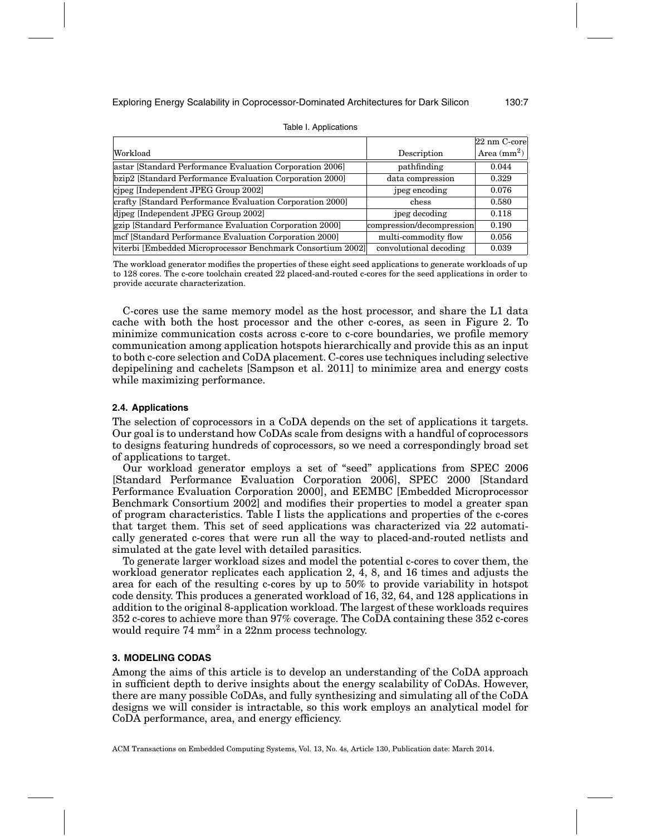|                                                             |                           | $22 \text{ nm}$ C-core |
|-------------------------------------------------------------|---------------------------|------------------------|
| Workload                                                    | Description               | Area $(mm^2)$          |
| astar [Standard Performance Evaluation Corporation 2006]    | pathfinding               | 0.044                  |
| bzip2 [Standard Performance Evaluation Corporation 2000]    | data compression          | 0.329                  |
| cipeg [Independent JPEG Group 2002]                         | jpeg encoding             | 0.076                  |
| crafty [Standard Performance Evaluation Corporation 2000]   | chess                     | 0.580                  |
| dipeg [Independent JPEG Group 2002]                         | jpeg decoding             | 0.118                  |
| gzip [Standard Performance Evaluation Corporation 2000]     | compression/decompression | 0.190                  |
| mef [Standard Performance Evaluation Corporation 2000]      | multi-commodity flow      | 0.056                  |
| viterbi [Embedded Microprocessor Benchmark Consortium 2002] | convolutional decoding    | 0.039                  |

#### Table I. Applications

The workload generator modifies the properties of these eight seed applications to generate workloads of up to 128 cores. The c-core toolchain created 22 placed-and-routed c-cores for the seed applications in order to provide accurate characterization.

C-cores use the same memory model as the host processor, and share the L1 data cache with both the host processor and the other c-cores, as seen in Figure 2. To minimize communication costs across c-core to c-core boundaries, we profile memory communication among application hotspots hierarchically and provide this as an input to both c-core selection and CoDA placement. C-cores use techniques including selective depipelining and cachelets [Sampson et al. 2011] to minimize area and energy costs while maximizing performance.

#### **2.4. Applications**

The selection of coprocessors in a CoDA depends on the set of applications it targets. Our goal is to understand how CoDAs scale from designs with a handful of coprocessors to designs featuring hundreds of coprocessors, so we need a correspondingly broad set of applications to target.

Our workload generator employs a set of "seed" applications from SPEC 2006 [Standard Performance Evaluation Corporation 2006], SPEC 2000 [Standard Performance Evaluation Corporation 2000], and EEMBC [Embedded Microprocessor Benchmark Consortium 2002] and modifies their properties to model a greater span of program characteristics. Table I lists the applications and properties of the c-cores that target them. This set of seed applications was characterized via 22 automatically generated c-cores that were run all the way to placed-and-routed netlists and simulated at the gate level with detailed parasitics.

To generate larger workload sizes and model the potential c-cores to cover them, the workload generator replicates each application 2, 4, 8, and 16 times and adjusts the area for each of the resulting c-cores by up to 50% to provide variability in hotspot code density. This produces a generated workload of 16, 32, 64, and 128 applications in addition to the original 8-application workload. The largest of these workloads requires 352 c-cores to achieve more than 97% coverage. The CoDA containing these 352 c-cores would require  $74 \text{ mm}^2$  in a  $22 \text{nm}$  process technology.

## **3. MODELING CODAS**

Among the aims of this article is to develop an understanding of the CoDA approach in sufficient depth to derive insights about the energy scalability of CoDAs. However, there are many possible CoDAs, and fully synthesizing and simulating all of the CoDA designs we will consider is intractable, so this work employs an analytical model for CoDA performance, area, and energy efficiency.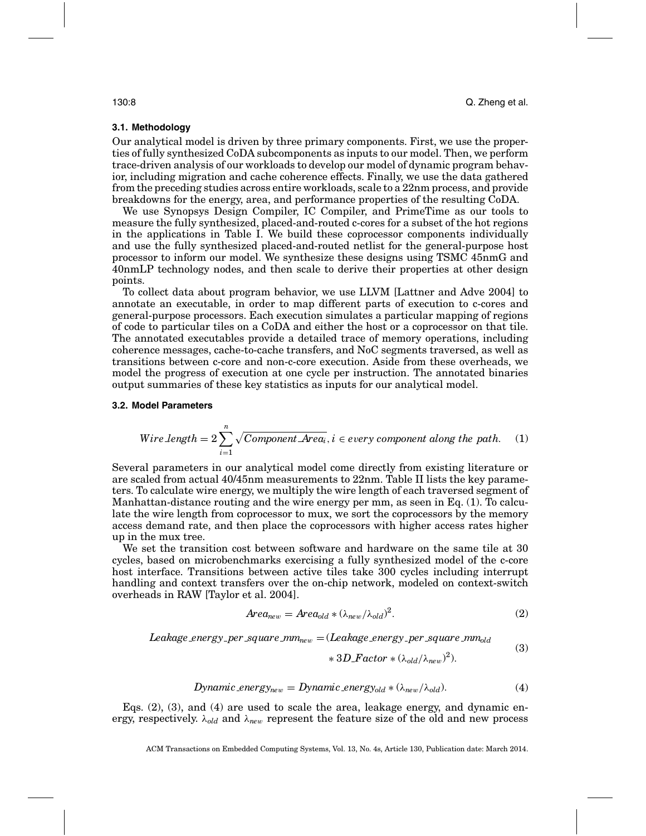#### **3.1. Methodology**

Our analytical model is driven by three primary components. First, we use the properties of fully synthesized CoDA subcomponents as inputs to our model. Then, we perform trace-driven analysis of our workloads to develop our model of dynamic program behavior, including migration and cache coherence effects. Finally, we use the data gathered from the preceding studies across entire workloads, scale to a 22nm process, and provide breakdowns for the energy, area, and performance properties of the resulting CoDA.

We use Synopsys Design Compiler, IC Compiler, and PrimeTime as our tools to measure the fully synthesized, placed-and-routed c-cores for a subset of the hot regions in the applications in Table I. We build these coprocessor components individually and use the fully synthesized placed-and-routed netlist for the general-purpose host processor to inform our model. We synthesize these designs using TSMC 45nmG and 40nmLP technology nodes, and then scale to derive their properties at other design points.

To collect data about program behavior, we use LLVM [Lattner and Adve 2004] to annotate an executable, in order to map different parts of execution to c-cores and general-purpose processors. Each execution simulates a particular mapping of regions of code to particular tiles on a CoDA and either the host or a coprocessor on that tile. The annotated executables provide a detailed trace of memory operations, including coherence messages, cache-to-cache transfers, and NoC segments traversed, as well as transitions between c-core and non-c-core execution. Aside from these overheads, we model the progress of execution at one cycle per instruction. The annotated binaries output summaries of these key statistics as inputs for our analytical model.

#### **3.2. Model Parameters**

*Wire Length* = 
$$
2 \sum_{i=1}^{n} \sqrt{Component\text{Area}_i}
$$
,  $i \in every\text{ component along the path.}$  (1)

Several parameters in our analytical model come directly from existing literature or are scaled from actual 40/45nm measurements to 22nm. Table II lists the key parameters. To calculate wire energy, we multiply the wire length of each traversed segment of Manhattan-distance routing and the wire energy per mm, as seen in Eq. (1). To calculate the wire length from coprocessor to mux, we sort the coprocessors by the memory access demand rate, and then place the coprocessors with higher access rates higher up in the mux tree.

We set the transition cost between software and hardware on the same tile at 30 cycles, based on microbenchmarks exercising a fully synthesized model of the c-core host interface. Transitions between active tiles take 300 cycles including interrupt handling and context transfers over the on-chip network, modeled on context-switch overheads in RAW [Taylor et al. 2004].

$$
Area_{new} = Area_{old} * (\lambda_{new}/\lambda_{old})^2.
$$
 (2)

*Leakage\_energy\_per\_square\_mm<sub>new</sub> = (Leakage\_energy\_per\_square\_mm<sub>old</sub>* 

$$
*3D_Factor * (\lambda_{old}/\lambda_{new})^2). \tag{3}
$$

$$
Dynamic\_energy_{new} = Dynamic\_energy_{old} * (\lambda_{new}/\lambda_{old}). \tag{4}
$$

Eqs.  $(2)$ ,  $(3)$ , and  $(4)$  are used to scale the area, leakage energy, and dynamic energy, respectively. λ*old* and λ*ne*<sup>w</sup> represent the feature size of the old and new process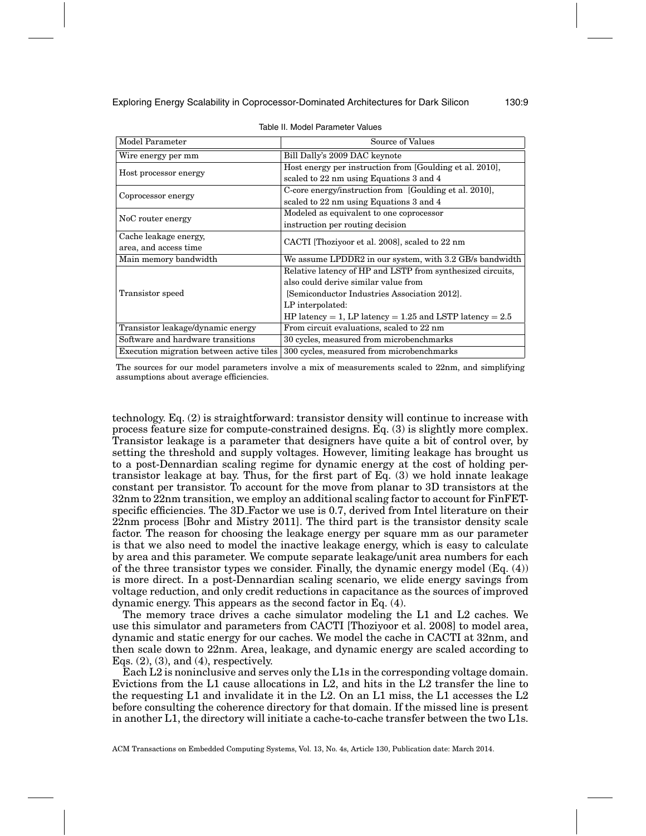| Model Parameter                          | Source of Values                                             |  |  |  |
|------------------------------------------|--------------------------------------------------------------|--|--|--|
|                                          |                                                              |  |  |  |
| Wire energy per mm                       | Bill Dally's 2009 DAC keynote                                |  |  |  |
| Host processor energy                    | Host energy per instruction from [Goulding et al. 2010],     |  |  |  |
|                                          | scaled to 22 nm using Equations 3 and 4                      |  |  |  |
|                                          | C-core energy/instruction from [Goulding et al. 2010],       |  |  |  |
| Coprocessor energy                       | scaled to 22 nm using Equations 3 and 4                      |  |  |  |
|                                          | Modeled as equivalent to one coprocessor                     |  |  |  |
| NoC router energy                        | instruction per routing decision                             |  |  |  |
| Cache leakage energy,                    |                                                              |  |  |  |
| area, and access time                    | CACTI [Thoziyoor et al. 2008], scaled to 22 nm               |  |  |  |
| Main memory bandwidth                    | We assume LPDDR2 in our system, with 3.2 GB/s bandwidth      |  |  |  |
|                                          | Relative latency of HP and LSTP from synthesized circuits,   |  |  |  |
|                                          | also could derive similar value from                         |  |  |  |
| Transistor speed                         | [Semiconductor Industries Association 2012].                 |  |  |  |
|                                          | LP interpolated:                                             |  |  |  |
|                                          | HP latency = 1, LP latency = $1.25$ and LSTP latency = $2.5$ |  |  |  |
| Transistor leakage/dynamic energy        | From circuit evaluations, scaled to 22 nm                    |  |  |  |
| Software and hardware transitions        | 30 cycles, measured from microbenchmarks                     |  |  |  |
| Execution migration between active tiles | 300 cycles, measured from microbenchmarks                    |  |  |  |

Table II. Model Parameter Values

The sources for our model parameters involve a mix of measurements scaled to 22nm, and simplifying assumptions about average efficiencies.

technology. Eq. (2) is straightforward: transistor density will continue to increase with process feature size for compute-constrained designs. Eq. (3) is slightly more complex. Transistor leakage is a parameter that designers have quite a bit of control over, by setting the threshold and supply voltages. However, limiting leakage has brought us to a post-Dennardian scaling regime for dynamic energy at the cost of holding pertransistor leakage at bay. Thus, for the first part of Eq. (3) we hold innate leakage constant per transistor. To account for the move from planar to 3D transistors at the 32nm to 22nm transition, we employ an additional scaling factor to account for FinFETspecific efficiencies. The 3D Factor we use is 0.7, derived from Intel literature on their 22nm process [Bohr and Mistry 2011]. The third part is the transistor density scale factor. The reason for choosing the leakage energy per square mm as our parameter is that we also need to model the inactive leakage energy, which is easy to calculate by area and this parameter. We compute separate leakage/unit area numbers for each of the three transistor types we consider. Finally, the dynamic energy model (Eq. (4)) is more direct. In a post-Dennardian scaling scenario, we elide energy savings from voltage reduction, and only credit reductions in capacitance as the sources of improved dynamic energy. This appears as the second factor in Eq. (4).

The memory trace drives a cache simulator modeling the L1 and L2 caches. We use this simulator and parameters from CACTI [Thoziyoor et al. 2008] to model area, dynamic and static energy for our caches. We model the cache in CACTI at 32nm, and then scale down to 22nm. Area, leakage, and dynamic energy are scaled according to Eqs.  $(2)$ ,  $(3)$ , and  $(4)$ , respectively.

Each L2 is noninclusive and serves only the L1s in the corresponding voltage domain. Evictions from the L1 cause allocations in L2, and hits in the L2 transfer the line to the requesting L1 and invalidate it in the L2. On an L1 miss, the L1 accesses the L2 before consulting the coherence directory for that domain. If the missed line is present in another L1, the directory will initiate a cache-to-cache transfer between the two L1s.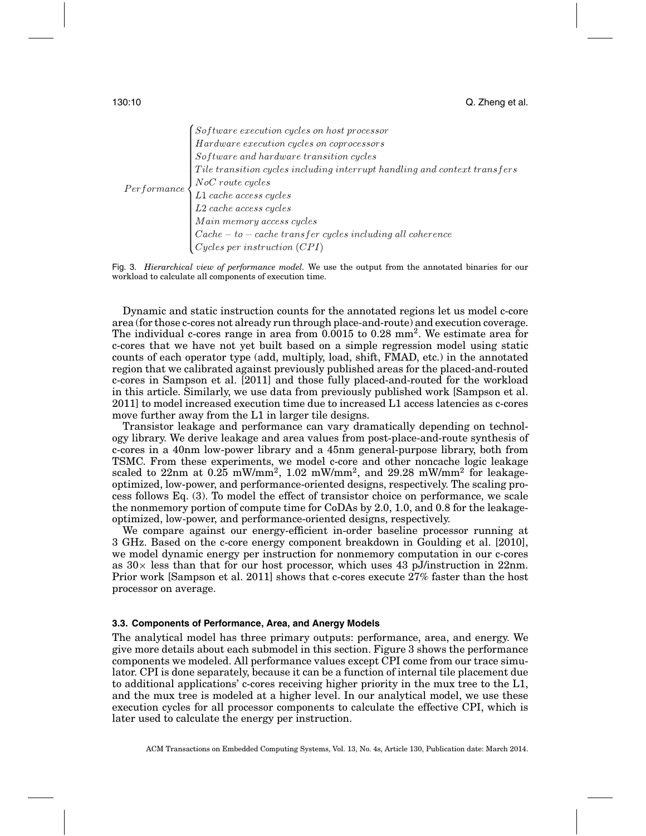|  | $\left\{ \begin{aligned} Software\ execution\ cycles\ on\ host\ processor\ Hartaware\ execution\ cycles\ on\ coprocessors\ Software\ and\ hardware\ transition\ cycles \end{aligned} \right.$ |
|--|-----------------------------------------------------------------------------------------------------------------------------------------------------------------------------------------------|
|  | Tile transition cycles including interrupt handling and context transfers                                                                                                                     |
|  | $\textit{Performance}$ $\left\{\n \begin{array}{l}\n NoC\ \textit{route}\ \textit{cycles}\n \end{array}\n \right.$                                                                            |
|  | $\begin{cases} L1 \text{ cache access cycles} \\ L2 \text{ cache access cycles} \end{cases}$                                                                                                  |
|  |                                                                                                                                                                                               |
|  | $Main \ memory \ access \ cycles$                                                                                                                                                             |
|  | $\label{eq:cache} Cache-to-cache \ transfer \ cycles \ including \ all \ coherence$                                                                                                           |
|  | $Cycles\ per\ instruction\ (CPI)$                                                                                                                                                             |



Dynamic and static instruction counts for the annotated regions let us model c-core area (for those c-cores not already run through place-and-route) and execution coverage. The individual c-cores range in area from  $0.0015$  to  $0.28$  mm<sup>2</sup>. We estimate area for c-cores that we have not yet built based on a simple regression model using static counts of each operator type (add, multiply, load, shift, FMAD, etc.) in the annotated region that we calibrated against previously published areas for the placed-and-routed c-cores in Sampson et al. [2011] and those fully placed-and-routed for the workload in this article. Similarly, we use data from previously published work [Sampson et al. 2011] to model increased execution time due to increased L1 access latencies as c-cores move further away from the L1 in larger tile designs.

Transistor leakage and performance can vary dramatically depending on technology library. We derive leakage and area values from post-place-and-route synthesis of c-cores in a 40nm low-power library and a 45nm general-purpose library, both from TSMC. From these experiments, we model c-core and other noncache logic leakage scaled to  $22nm$  at  $0.25$  mW/mm<sup>2</sup>,  $1.02$  mW/mm<sup>2</sup>, and  $29.28$  mW/mm<sup>2</sup> for leakageoptimized, low-power, and performance-oriented designs, respectively. The scaling process follows Eq. (3). To model the effect of transistor choice on performance, we scale the nonmemory portion of compute time for CoDAs by 2.0, 1.0, and 0.8 for the leakageoptimized, low-power, and performance-oriented designs, respectively.

We compare against our energy-efficient in-order baseline processor running at 3 GHz. Based on the c-core energy component breakdown in Goulding et al. [2010], we model dynamic energy per instruction for nonmemory computation in our c-cores as  $30\times$  less than that for our host processor, which uses 43 pJ/instruction in 22nm. Prior work [Sampson et al. 2011] shows that c-cores execute 27% faster than the host processor on average.

#### **3.3. Components of Performance, Area, and Anergy Models**

The analytical model has three primary outputs: performance, area, and energy. We give more details about each submodel in this section. Figure 3 shows the performance components we modeled. All performance values except CPI come from our trace simulator. CPI is done separately, because it can be a function of internal tile placement due to additional applications' c-cores receiving higher priority in the mux tree to the L1, and the mux tree is modeled at a higher level. In our analytical model, we use these execution cycles for all processor components to calculate the effective CPI, which is later used to calculate the energy per instruction.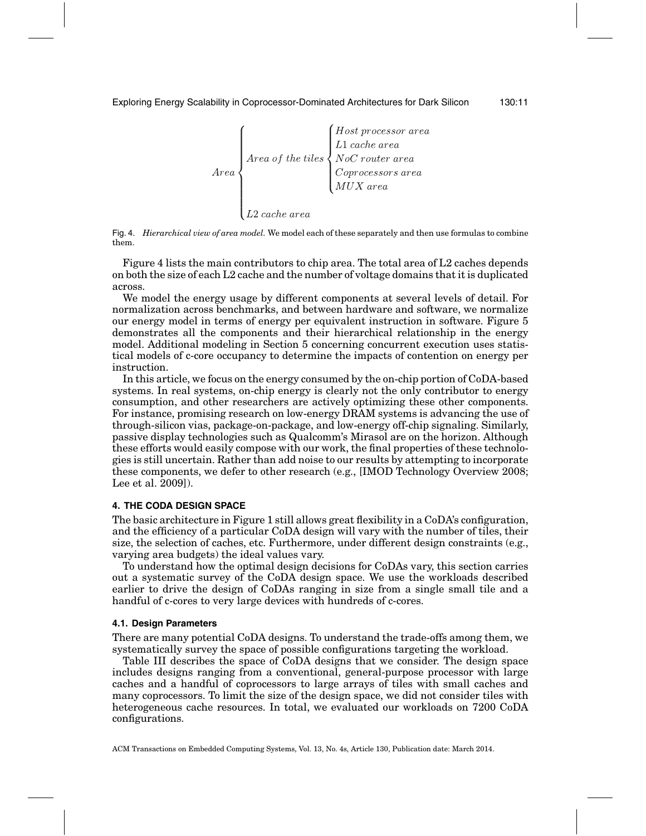Exploring Energy Scalability in Coprocessor-Dominated Architectures for Dark Silicon 130:11



Fig. 4. *Hierarchical view of area model.* We model each of these separately and then use formulas to combine them.

Figure 4 lists the main contributors to chip area. The total area of L2 caches depends on both the size of each L2 cache and the number of voltage domains that it is duplicated across.

We model the energy usage by different components at several levels of detail. For normalization across benchmarks, and between hardware and software, we normalize our energy model in terms of energy per equivalent instruction in software. Figure 5 demonstrates all the components and their hierarchical relationship in the energy model. Additional modeling in Section 5 concerning concurrent execution uses statistical models of c-core occupancy to determine the impacts of contention on energy per instruction.

In this article, we focus on the energy consumed by the on-chip portion of CoDA-based systems. In real systems, on-chip energy is clearly not the only contributor to energy consumption, and other researchers are actively optimizing these other components. For instance, promising research on low-energy DRAM systems is advancing the use of through-silicon vias, package-on-package, and low-energy off-chip signaling. Similarly, passive display technologies such as Qualcomm's Mirasol are on the horizon. Although these efforts would easily compose with our work, the final properties of these technologies is still uncertain. Rather than add noise to our results by attempting to incorporate these components, we defer to other research (e.g., [IMOD Technology Overview 2008; Lee et al. 2009]).

# **4. THE CODA DESIGN SPACE**

The basic architecture in Figure 1 still allows great flexibility in a CoDA's configuration, and the efficiency of a particular CoDA design will vary with the number of tiles, their size, the selection of caches, etc. Furthermore, under different design constraints (e.g., varying area budgets) the ideal values vary.

To understand how the optimal design decisions for CoDAs vary, this section carries out a systematic survey of the CoDA design space. We use the workloads described earlier to drive the design of CoDAs ranging in size from a single small tile and a handful of c-cores to very large devices with hundreds of c-cores.

#### **4.1. Design Parameters**

There are many potential CoDA designs. To understand the trade-offs among them, we systematically survey the space of possible configurations targeting the workload.

Table III describes the space of CoDA designs that we consider. The design space includes designs ranging from a conventional, general-purpose processor with large caches and a handful of coprocessors to large arrays of tiles with small caches and many coprocessors. To limit the size of the design space, we did not consider tiles with heterogeneous cache resources. In total, we evaluated our workloads on 7200 CoDA configurations.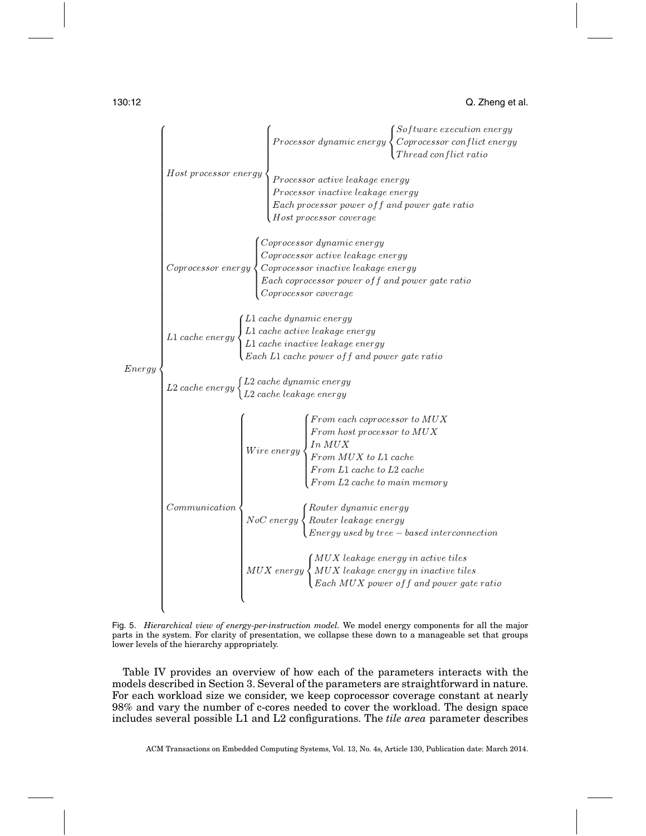|        |                                                                                                                                                                   | $\begin{aligned} &P\; \textit{Processor dynamic energy} \begin{cases} &\textit{Software execution energy} \ &\textit{Coprocessor conflict energy} \ &\textit{Thread conflict ratio} \end{cases} \end{aligned}$                                                                                                                                                                                                                                                                                                                                                                                                                                                         |  |
|--------|-------------------------------------------------------------------------------------------------------------------------------------------------------------------|------------------------------------------------------------------------------------------------------------------------------------------------------------------------------------------------------------------------------------------------------------------------------------------------------------------------------------------------------------------------------------------------------------------------------------------------------------------------------------------------------------------------------------------------------------------------------------------------------------------------------------------------------------------------|--|
| Energy |                                                                                                                                                                   | $\emph{Host processor energy} \left\{\textit{Processor active leakage energy} \right\}$<br>$\vert$ Processor inactive leakage energy<br>Each processor power of f and power gate ratio<br>Host processor coverage                                                                                                                                                                                                                                                                                                                                                                                                                                                      |  |
|        |                                                                                                                                                                   | Coprocessor dynamic energy<br>$\label{eq:corrocessor} Coprocess or \ energy \begin{cases} \begin{array}{l} \textcolor{blue}{\textcolor{blue}{\textcolor{blue}{\textcolor{blue}{\textcolor{blue}{\textcolor{blue}{\textcolor{blue}{\textcolor{blue}{\textcolor{blue}{\textcolor{blue}{\textcolor{blue}{\textcolor{blue}{\textcolor{blue}{\textcolor{blue}{\textcolor{blue}{\textcolor{blue}{\textcolor{blue}{\textcolor{blue}{\textcolor{blue}{\textcolor{blue}{\textcolor{blue}{\textcolor{blue}{\textcolor{blue}{\textcolor{blue}{\textcolor{blue}{\textcolor{blue}{\textcolor{blue}{\textcolor{blue}{\textcolor{blue}{\textcolor{blue}{\textcolor{blue}{\textcolor{$ |  |
|        |                                                                                                                                                                   | $\lambda 1$ cache dynamic energy<br>$L1\ cache\ energy\left\{ \begin{aligned} &L1\ cache\ active\ leakage\ energy\ &L1\ cache\ inactive\ leakage\ energy\ &L1\ cache\ inactive\ leakage\ energy\ &Each\ L1\ cache\ power\ of\ f\ and\ power\ gate\ ratio \end{aligned} \right.$                                                                                                                                                                                                                                                                                                                                                                                        |  |
|        | $\left\{\begin{aligned} L2 \text{ cache energy} \begin{cases} L2 \text{ cache dynamic energy} \ L2 \text{ cache leakage energy} \end{cases}\right. \end{aligned}$ |                                                                                                                                                                                                                                                                                                                                                                                                                                                                                                                                                                                                                                                                        |  |
|        |                                                                                                                                                                   | $\left\{ \begin{array}{l} \begin{array}{c} \begin{array}{c} \begin{array}{c} \begin{array}{c} \end{array}\\ \end{array}\\ \begin{array}{c} \end{array}\\ \begin{array}{c} \end{array}\\ \begin{array}{c} \end{array}\\ \begin{array}{c} \end{array}\\ \begin{array}{c} \end{array}\\ \begin{array}{c} \end{array}\\ \begin{array}{c} \end{array}\\ \begin{array}{c} \end{array}\\ \begin{array}{c} \end{array}\\ \begin{array}{c} \end{array}\\ \begin{array}{c} \end{array}\\ \begin{array}{c} \end{array}\\ \begin{array}{c} \end{array}\\ \begin{array}{c} \end{array}\\ \begin{$                                                                                   |  |
|        |                                                                                                                                                                   | $\setlength{\abovedisplayskip}{1pt} \setlength{\belowdisplayskip}{1pt} Conmunication \begin{cases} \begin{cases} \textit{Router dynamic energy} \\ \textit{Router leakage energy} \\ \textit{Energy used by tree - based interconnection} \end{cases} \end{cases}$                                                                                                                                                                                                                                                                                                                                                                                                     |  |
|        |                                                                                                                                                                   | $\begin{cases} MUX\;\textit{leakage}\; \textit{energy}\; \textit{in}\; \textit{active}\; \textit{ities}\ MUX\; \textit{leakage}\; \textit{energy}\; \textit{in}\; \textit{inactive}\; \textit{ities}\\\ \textit{Each}\; MUX\; \textit{power}\; \textit{off}\; \textit{and}\; \textit{power}\; \textit{gate}\; \textit{ratio} \end{cases}$                                                                                                                                                                                                                                                                                                                              |  |
|        |                                                                                                                                                                   |                                                                                                                                                                                                                                                                                                                                                                                                                                                                                                                                                                                                                                                                        |  |

Fig. 5. *Hierarchical view of energy-per-instruction model.* We model energy components for all the major parts in the system. For clarity of presentation, we collapse these down to a manageable set that groups lower levels of the hierarchy appropriately.

Table IV provides an overview of how each of the parameters interacts with the models described in Section 3. Several of the parameters are straightforward in nature. For each workload size we consider, we keep coprocessor coverage constant at nearly 98% and vary the number of c-cores needed to cover the workload. The design space includes several possible L1 and L2 configurations. The *tile area* parameter describes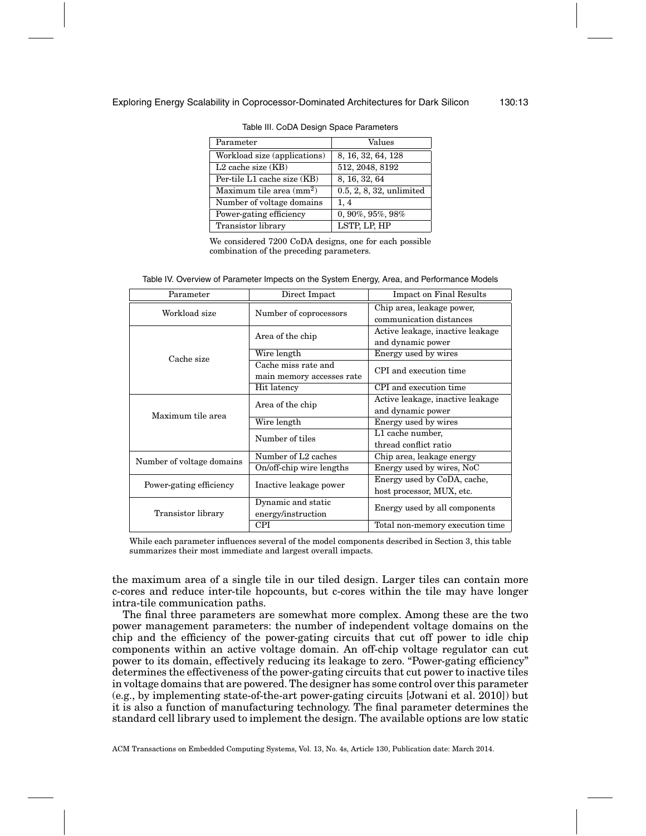| Parameter                         | Values                      |
|-----------------------------------|-----------------------------|
| Workload size (applications)      | 8, 16, 32, 64, 128          |
| $L2$ cache size $(KB)$            | 512, 2048, 8192             |
| Per-tile L1 cache size (KB)       | 8, 16, 32, 64               |
| Maximum tile area $\text{(mm}^2)$ | $0.5, 2, 8, 32,$ unlimited  |
| Number of voltage domains         | 1, 4                        |
| Power-gating efficiency           | $0, 90\%$ , $95\%$ , $98\%$ |
| <b>Transistor</b> library         | LSTP, LP, HP                |

Table III. CoDA Design Space Parameters

We considered 7200 CoDA designs, one for each possible combination of the preceding parameters.

| Table IV. Overview of Parameter Impects on the System Energy, Area, and Performance Models |  |  |
|--------------------------------------------------------------------------------------------|--|--|
|                                                                                            |  |  |

| Parameter                 | Direct Impact                                    | <b>Impact on Final Results</b>                           |  |
|---------------------------|--------------------------------------------------|----------------------------------------------------------|--|
| Workload size             | Number of coprocessors                           | Chip area, leakage power,<br>communication distances     |  |
|                           | Area of the chip                                 | Active leakage, inactive leakage<br>and dynamic power    |  |
| Cache size                | Wire length                                      | Energy used by wires                                     |  |
|                           | Cache miss rate and<br>main memory accesses rate | CPI and execution time                                   |  |
|                           | Hit latency                                      | CPI and execution time                                   |  |
| Maximum tile area         | Area of the chip                                 | Active leakage, inactive leakage<br>and dynamic power    |  |
|                           | Wire length                                      | Energy used by wires                                     |  |
|                           | Number of tiles                                  | L1 cache number,<br>thread conflict ratio                |  |
| Number of voltage domains | Number of L <sub>2</sub> caches                  | Chip area, leakage energy                                |  |
|                           | On/off-chip wire lengths                         | Energy used by wires, NoC                                |  |
| Power-gating efficiency   | Inactive leakage power                           | Energy used by CoDA, cache,<br>host processor, MUX, etc. |  |
| Transistor library        | Dynamic and static<br>energy/instruction         | Energy used by all components                            |  |
|                           | CPI                                              | Total non-memory execution time                          |  |

While each parameter influences several of the model components described in Section 3, this table summarizes their most immediate and largest overall impacts.

the maximum area of a single tile in our tiled design. Larger tiles can contain more c-cores and reduce inter-tile hopcounts, but c-cores within the tile may have longer intra-tile communication paths.

The final three parameters are somewhat more complex. Among these are the two power management parameters: the number of independent voltage domains on the chip and the efficiency of the power-gating circuits that cut off power to idle chip components within an active voltage domain. An off-chip voltage regulator can cut power to its domain, effectively reducing its leakage to zero. "Power-gating efficiency" determines the effectiveness of the power-gating circuits that cut power to inactive tiles in voltage domains that are powered. The designer has some control over this parameter (e.g., by implementing state-of-the-art power-gating circuits [Jotwani et al. 2010]) but it is also a function of manufacturing technology. The final parameter determines the standard cell library used to implement the design. The available options are low static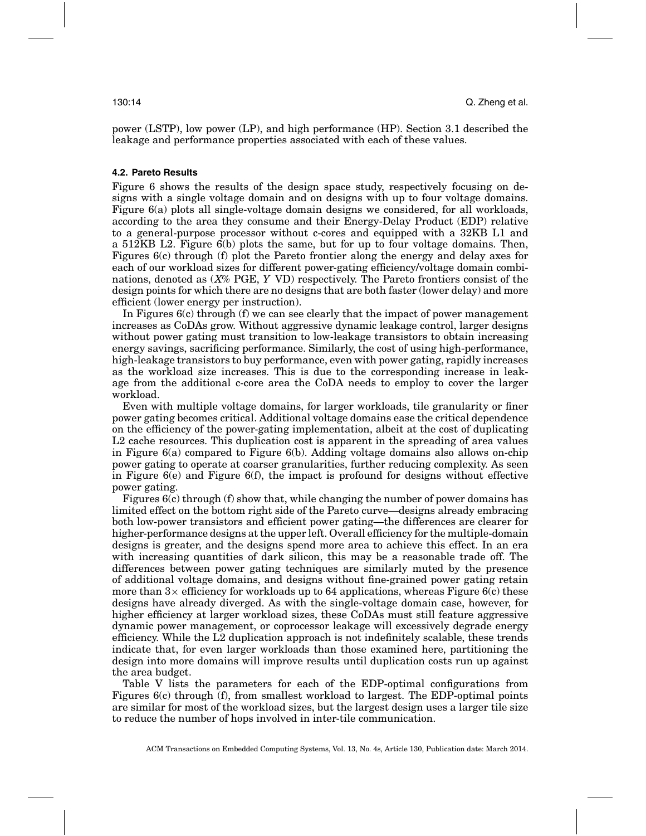power (LSTP), low power (LP), and high performance (HP). Section 3.1 described the leakage and performance properties associated with each of these values.

# **4.2. Pareto Results**

Figure 6 shows the results of the design space study, respectively focusing on designs with a single voltage domain and on designs with up to four voltage domains. Figure 6(a) plots all single-voltage domain designs we considered, for all workloads, according to the area they consume and their Energy-Delay Product (EDP) relative to a general-purpose processor without c-cores and equipped with a 32KB L1 and a 512KB L2. Figure 6(b) plots the same, but for up to four voltage domains. Then, Figures 6(c) through (f) plot the Pareto frontier along the energy and delay axes for each of our workload sizes for different power-gating efficiency/voltage domain combinations, denoted as (*X*% PGE, *Y* VD) respectively. The Pareto frontiers consist of the design points for which there are no designs that are both faster (lower delay) and more efficient (lower energy per instruction).

In Figures  $6(c)$  through (f) we can see clearly that the impact of power management increases as CoDAs grow. Without aggressive dynamic leakage control, larger designs without power gating must transition to low-leakage transistors to obtain increasing energy savings, sacrificing performance. Similarly, the cost of using high-performance, high-leakage transistors to buy performance, even with power gating, rapidly increases as the workload size increases. This is due to the corresponding increase in leakage from the additional c-core area the CoDA needs to employ to cover the larger workload.

Even with multiple voltage domains, for larger workloads, tile granularity or finer power gating becomes critical. Additional voltage domains ease the critical dependence on the efficiency of the power-gating implementation, albeit at the cost of duplicating L2 cache resources. This duplication cost is apparent in the spreading of area values in Figure 6(a) compared to Figure 6(b). Adding voltage domains also allows on-chip power gating to operate at coarser granularities, further reducing complexity. As seen in Figure  $6(e)$  and Figure  $6(f)$ , the impact is profound for designs without effective power gating.

Figures 6(c) through (f) show that, while changing the number of power domains has limited effect on the bottom right side of the Pareto curve—designs already embracing both low-power transistors and efficient power gating—the differences are clearer for higher-performance designs at the upper left. Overall efficiency for the multiple-domain designs is greater, and the designs spend more area to achieve this effect. In an era with increasing quantities of dark silicon, this may be a reasonable trade off. The differences between power gating techniques are similarly muted by the presence of additional voltage domains, and designs without fine-grained power gating retain more than  $3\times$  efficiency for workloads up to 64 applications, whereas Figure 6(c) these designs have already diverged. As with the single-voltage domain case, however, for higher efficiency at larger workload sizes, these CoDAs must still feature aggressive dynamic power management, or coprocessor leakage will excessively degrade energy efficiency. While the L2 duplication approach is not indefinitely scalable, these trends indicate that, for even larger workloads than those examined here, partitioning the design into more domains will improve results until duplication costs run up against the area budget.

Table V lists the parameters for each of the EDP-optimal configurations from Figures 6(c) through (f), from smallest workload to largest. The EDP-optimal points are similar for most of the workload sizes, but the largest design uses a larger tile size to reduce the number of hops involved in inter-tile communication.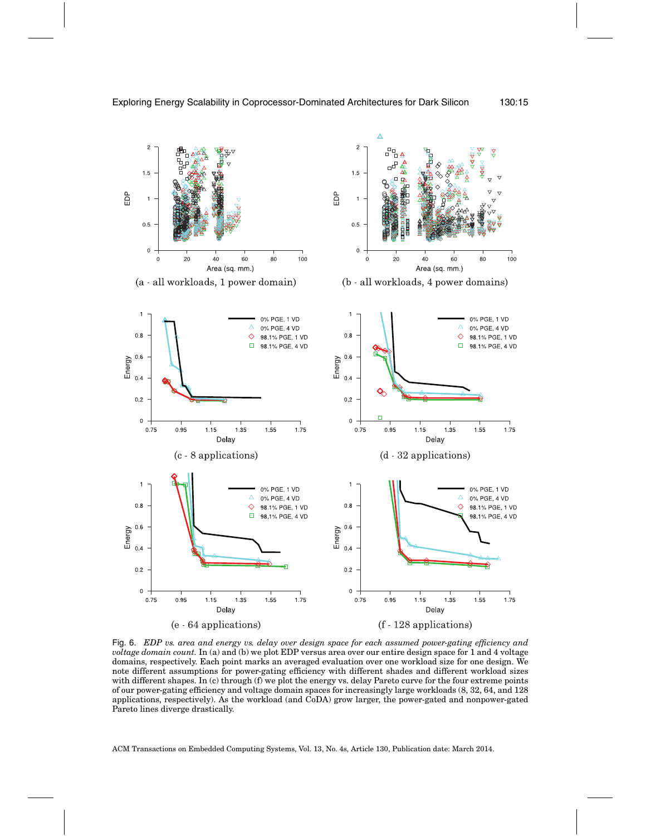

Fig. 6. *EDP vs. area and energy vs. delay over design space for each assumed power-gating efficiency and voltage domain count.* In (a) and (b) we plot EDP versus area over our entire design space for 1 and 4 voltage domains, respectively. Each point marks an averaged evaluation over one workload size for one design. We note different assumptions for power-gating efficiency with different shades and different workload sizes with different shapes. In (c) through (f) we plot the energy vs. delay Pareto curve for the four extreme points of our power-gating efficiency and voltage domain spaces for increasingly large workloads (8, 32, 64, and 128 applications, respectively). As the workload (and CoDA) grow larger, the power-gated and nonpower-gated Pareto lines diverge drastically.

ACM Transactions on Embedded Computing Systems, Vol. 13, No. 4s, Article 130, Publication date: March 2014.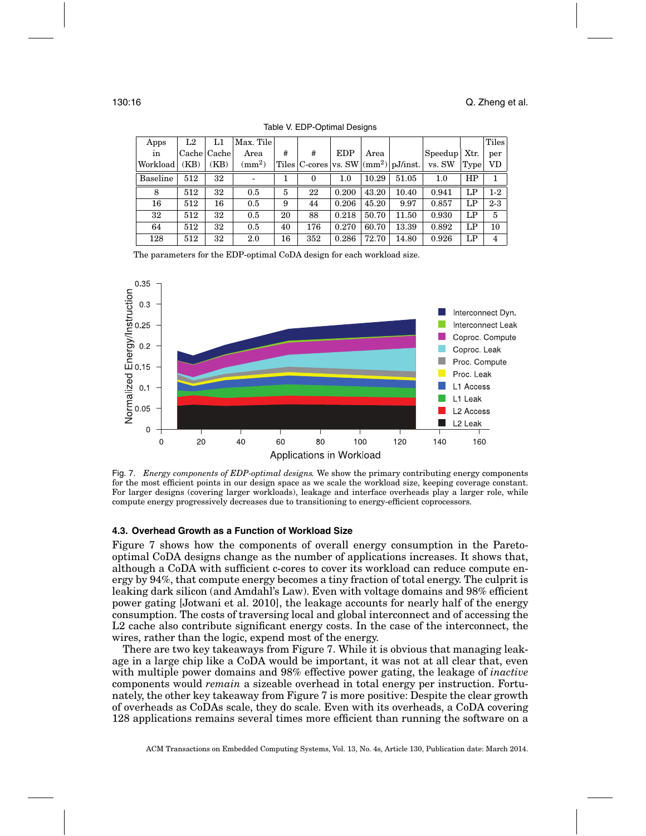| Apps     | L2   | L1          | Max. Tile    |    |                  |       |       |                                                     |                |      | Tiles   |
|----------|------|-------------|--------------|----|------------------|-------|-------|-----------------------------------------------------|----------------|------|---------|
| in       |      | Cache Cache | Area         | #  | #                | EDP   | Area  |                                                     | Speedup   Xtr. |      | per     |
| Workload | (KB) | (KB)        | $\rm (mm^2)$ |    |                  |       |       | Tiles $ C\text{-cores} $ vs. SW $ (mm^2) pJ/inst. $ | vs. SW         | Type | VD      |
| Baseline | 512  | 32          |              |    | $\boldsymbol{0}$ | 1.0   | 10.29 | 51.05                                               | 1.0            | HP   |         |
| 8        | 512  | 32          | 0.5          | 5  | 22               | 0.200 | 43.20 | 10.40                                               | 0.941          | LP   | $1-2$   |
| 16       | 512  | 16          | 0.5          | 9  | 44               | 0.206 | 45.20 | 9.97                                                | 0.857          | LP   | $2 - 3$ |
| 32       | 512  | 32          | 0.5          | 20 | 88               | 0.218 | 50.70 | 11.50                                               | 0.930          | LP   | 5       |
| 64       | 512  | 32          | 0.5          | 40 | 176              | 0.270 | 60.70 | 13.39                                               | 0.892          | LP   | 10      |
| 128      | 512  | 32          | 2.0          | 16 | 352              | 0.286 | 72.70 | 14.80                                               | 0.926          | LP   | 4       |

Table V. EDP-Optimal Designs

The parameters for the EDP-optimal CoDA design for each workload size.



Fig. 7. *Energy components of EDP-optimal designs.* We show the primary contributing energy components for the most efficient points in our design space as we scale the workload size, keeping coverage constant. For larger designs (covering larger workloads), leakage and interface overheads play a larger role, while compute energy progressively decreases due to transitioning to energy-efficient coprocessors.

#### **4.3. Overhead Growth as a Function of Workload Size**

Figure 7 shows how the components of overall energy consumption in the Paretooptimal CoDA designs change as the number of applications increases. It shows that, although a CoDA with sufficient c-cores to cover its workload can reduce compute energy by 94%, that compute energy becomes a tiny fraction of total energy. The culprit is leaking dark silicon (and Amdahl's Law). Even with voltage domains and 98% efficient power gating [Jotwani et al. 2010], the leakage accounts for nearly half of the energy consumption. The costs of traversing local and global interconnect and of accessing the L2 cache also contribute significant energy costs. In the case of the interconnect, the wires, rather than the logic, expend most of the energy.

There are two key takeaways from Figure 7. While it is obvious that managing leakage in a large chip like a CoDA would be important, it was not at all clear that, even with multiple power domains and 98% effective power gating, the leakage of *inactive* components would *remain* a sizeable overhead in total energy per instruction. Fortunately, the other key takeaway from Figure 7 is more positive: Despite the clear growth of overheads as CoDAs scale, they do scale. Even with its overheads, a CoDA covering 128 applications remains several times more efficient than running the software on a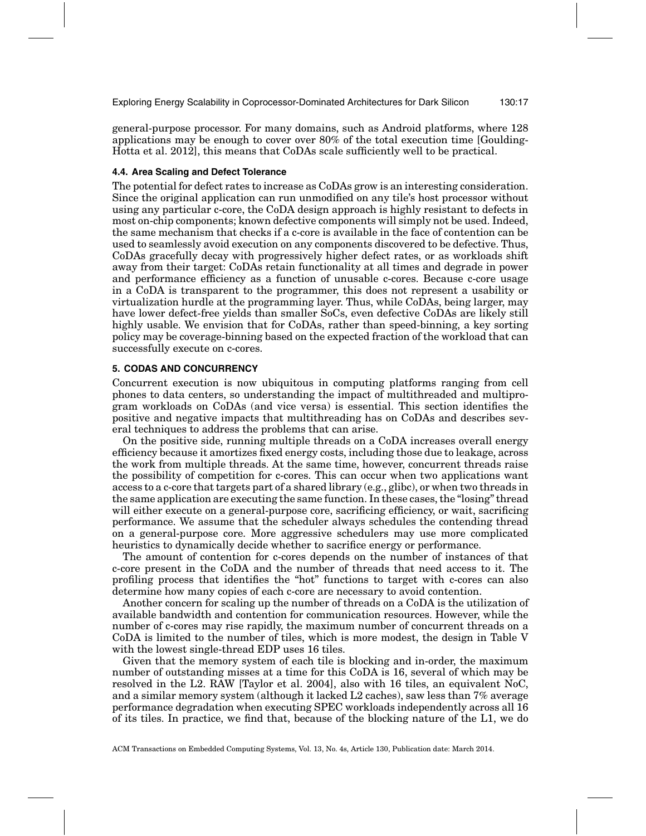Exploring Energy Scalability in Coprocessor-Dominated Architectures for Dark Silicon 130:17

general-purpose processor. For many domains, such as Android platforms, where 128 applications may be enough to cover over 80% of the total execution time [Goulding-Hotta et al. 2012], this means that CoDAs scale sufficiently well to be practical.

#### **4.4. Area Scaling and Defect Tolerance**

The potential for defect rates to increase as CoDAs grow is an interesting consideration. Since the original application can run unmodified on any tile's host processor without using any particular c-core, the CoDA design approach is highly resistant to defects in most on-chip components; known defective components will simply not be used. Indeed, the same mechanism that checks if a c-core is available in the face of contention can be used to seamlessly avoid execution on any components discovered to be defective. Thus, CoDAs gracefully decay with progressively higher defect rates, or as workloads shift away from their target: CoDAs retain functionality at all times and degrade in power and performance efficiency as a function of unusable c-cores. Because c-core usage in a CoDA is transparent to the programmer, this does not represent a usability or virtualization hurdle at the programming layer. Thus, while CoDAs, being larger, may have lower defect-free yields than smaller SoCs, even defective CoDAs are likely still highly usable. We envision that for CoDAs, rather than speed-binning, a key sorting policy may be coverage-binning based on the expected fraction of the workload that can successfully execute on c-cores.

# **5. CODAS AND CONCURRENCY**

Concurrent execution is now ubiquitous in computing platforms ranging from cell phones to data centers, so understanding the impact of multithreaded and multiprogram workloads on CoDAs (and vice versa) is essential. This section identifies the positive and negative impacts that multithreading has on CoDAs and describes several techniques to address the problems that can arise.

On the positive side, running multiple threads on a CoDA increases overall energy efficiency because it amortizes fixed energy costs, including those due to leakage, across the work from multiple threads. At the same time, however, concurrent threads raise the possibility of competition for c-cores. This can occur when two applications want access to a c-core that targets part of a shared library (e.g., glibc), or when two threads in the same application are executing the same function. In these cases, the "losing" thread will either execute on a general-purpose core, sacrificing efficiency, or wait, sacrificing performance. We assume that the scheduler always schedules the contending thread on a general-purpose core. More aggressive schedulers may use more complicated heuristics to dynamically decide whether to sacrifice energy or performance.

The amount of contention for c-cores depends on the number of instances of that c-core present in the CoDA and the number of threads that need access to it. The profiling process that identifies the "hot" functions to target with c-cores can also determine how many copies of each c-core are necessary to avoid contention.

Another concern for scaling up the number of threads on a CoDA is the utilization of available bandwidth and contention for communication resources. However, while the number of c-cores may rise rapidly, the maximum number of concurrent threads on a CoDA is limited to the number of tiles, which is more modest, the design in Table V with the lowest single-thread EDP uses 16 tiles.

Given that the memory system of each tile is blocking and in-order, the maximum number of outstanding misses at a time for this CoDA is 16, several of which may be resolved in the L2. RAW [Taylor et al. 2004], also with 16 tiles, an equivalent NoC, and a similar memory system (although it lacked L2 caches), saw less than 7% average performance degradation when executing SPEC workloads independently across all 16 of its tiles. In practice, we find that, because of the blocking nature of the L1, we do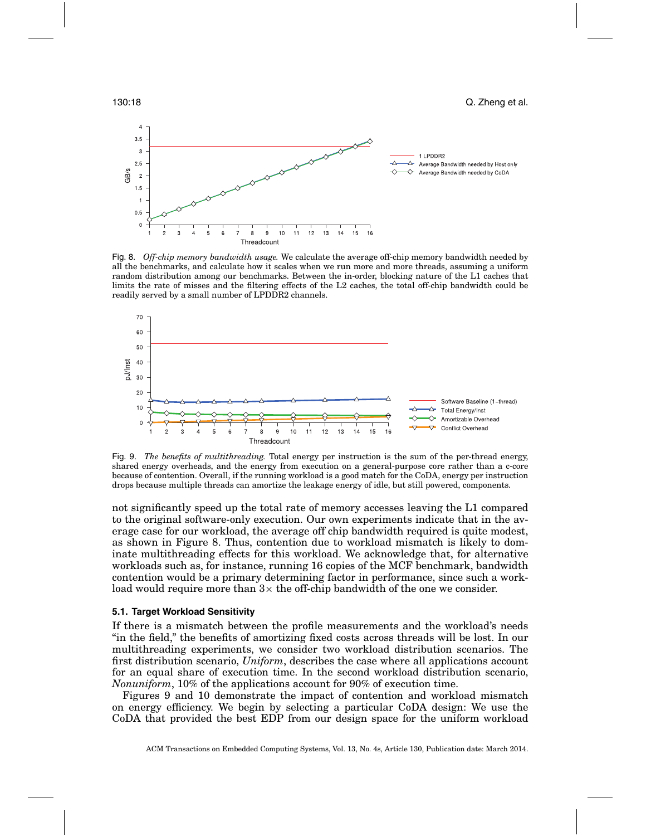

Fig. 8. *Off-chip memory bandwidth usage.* We calculate the average off-chip memory bandwidth needed by all the benchmarks, and calculate how it scales when we run more and more threads, assuming a uniform random distribution among our benchmarks. Between the in-order, blocking nature of the L1 caches that limits the rate of misses and the filtering effects of the L2 caches, the total off-chip bandwidth could be readily served by a small number of LPDDR2 channels.



Fig. 9. *The benefits of multithreading.* Total energy per instruction is the sum of the per-thread energy, shared energy overheads, and the energy from execution on a general-purpose core rather than a c-core because of contention. Overall, if the running workload is a good match for the CoDA, energy per instruction drops because multiple threads can amortize the leakage energy of idle, but still powered, components.

not significantly speed up the total rate of memory accesses leaving the L1 compared to the original software-only execution. Our own experiments indicate that in the average case for our workload, the average off chip bandwidth required is quite modest, as shown in Figure 8. Thus, contention due to workload mismatch is likely to dominate multithreading effects for this workload. We acknowledge that, for alternative workloads such as, for instance, running 16 copies of the MCF benchmark, bandwidth contention would be a primary determining factor in performance, since such a workload would require more than  $3\times$  the off-chip bandwidth of the one we consider.

#### **5.1. Target Workload Sensitivity**

If there is a mismatch between the profile measurements and the workload's needs "in the field," the benefits of amortizing fixed costs across threads will be lost. In our multithreading experiments, we consider two workload distribution scenarios. The first distribution scenario, *Uniform*, describes the case where all applications account for an equal share of execution time. In the second workload distribution scenario, *Nonuniform*, 10% of the applications account for 90% of execution time.

Figures 9 and 10 demonstrate the impact of contention and workload mismatch on energy efficiency. We begin by selecting a particular CoDA design: We use the CoDA that provided the best EDP from our design space for the uniform workload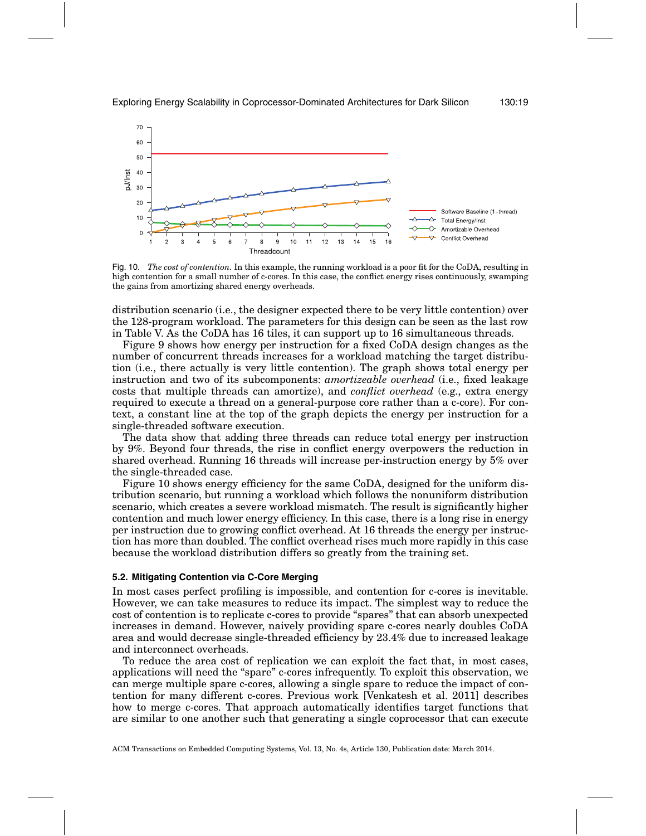

Fig. 10. *The cost of contention.* In this example, the running workload is a poor fit for the CoDA, resulting in high contention for a small number of c-cores. In this case, the conflict energy rises continuously, swamping the gains from amortizing shared energy overheads.

distribution scenario (i.e., the designer expected there to be very little contention) over the 128-program workload. The parameters for this design can be seen as the last row in Table V. As the CoDA has 16 tiles, it can support up to 16 simultaneous threads.

Figure 9 shows how energy per instruction for a fixed CoDA design changes as the number of concurrent threads increases for a workload matching the target distribution (i.e., there actually is very little contention). The graph shows total energy per instruction and two of its subcomponents: *amortizeable overhead* (i.e., fixed leakage costs that multiple threads can amortize), and *conflict overhead* (e.g., extra energy required to execute a thread on a general-purpose core rather than a c-core). For context, a constant line at the top of the graph depicts the energy per instruction for a single-threaded software execution.

The data show that adding three threads can reduce total energy per instruction by 9%. Beyond four threads, the rise in conflict energy overpowers the reduction in shared overhead. Running 16 threads will increase per-instruction energy by 5% over the single-threaded case.

Figure 10 shows energy efficiency for the same CoDA, designed for the uniform distribution scenario, but running a workload which follows the nonuniform distribution scenario, which creates a severe workload mismatch. The result is significantly higher contention and much lower energy efficiency. In this case, there is a long rise in energy per instruction due to growing conflict overhead. At 16 threads the energy per instruction has more than doubled. The conflict overhead rises much more rapidly in this case because the workload distribution differs so greatly from the training set.

#### **5.2. Mitigating Contention via C-Core Merging**

In most cases perfect profiling is impossible, and contention for c-cores is inevitable. However, we can take measures to reduce its impact. The simplest way to reduce the cost of contention is to replicate c-cores to provide "spares" that can absorb unexpected increases in demand. However, naively providing spare c-cores nearly doubles CoDA area and would decrease single-threaded efficiency by 23.4% due to increased leakage and interconnect overheads.

To reduce the area cost of replication we can exploit the fact that, in most cases, applications will need the "spare" c-cores infrequently. To exploit this observation, we can merge multiple spare c-cores, allowing a single spare to reduce the impact of contention for many different c-cores. Previous work [Venkatesh et al. 2011] describes how to merge c-cores. That approach automatically identifies target functions that are similar to one another such that generating a single coprocessor that can execute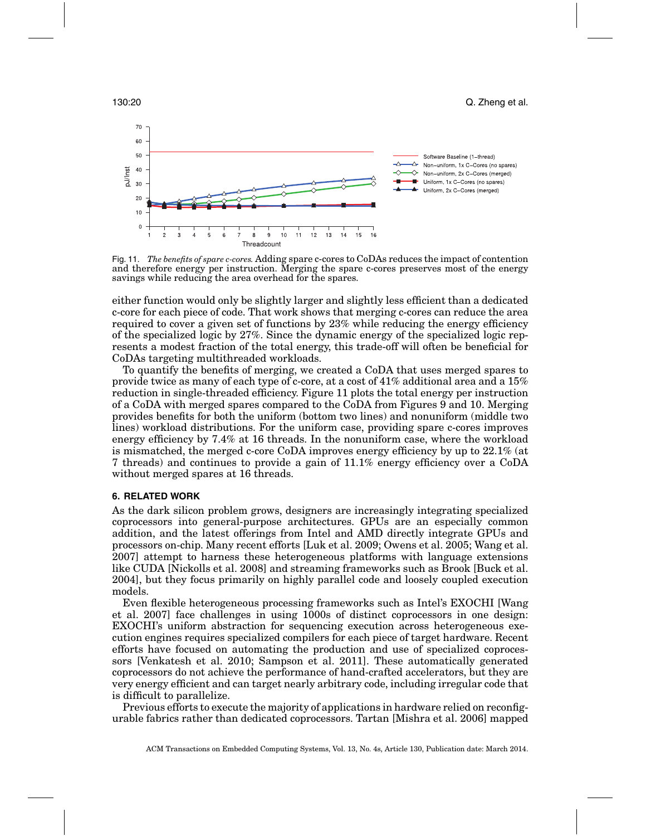

Fig. 11. *The benefits of spare c-cores.* Adding spare c-cores to CoDAs reduces the impact of contention and therefore energy per instruction. Merging the spare c-cores preserves most of the energy savings while reducing the area overhead for the spares.

either function would only be slightly larger and slightly less efficient than a dedicated c-core for each piece of code. That work shows that merging c-cores can reduce the area required to cover a given set of functions by 23% while reducing the energy efficiency of the specialized logic by 27%. Since the dynamic energy of the specialized logic represents a modest fraction of the total energy, this trade-off will often be beneficial for CoDAs targeting multithreaded workloads.

To quantify the benefits of merging, we created a CoDA that uses merged spares to provide twice as many of each type of c-core, at a cost of 41% additional area and a 15% reduction in single-threaded efficiency. Figure 11 plots the total energy per instruction of a CoDA with merged spares compared to the CoDA from Figures 9 and 10. Merging provides benefits for both the uniform (bottom two lines) and nonuniform (middle two lines) workload distributions. For the uniform case, providing spare c-cores improves energy efficiency by 7.4% at 16 threads. In the nonuniform case, where the workload is mismatched, the merged c-core CoDA improves energy efficiency by up to 22.1% (at 7 threads) and continues to provide a gain of 11.1% energy efficiency over a CoDA without merged spares at 16 threads.

# **6. RELATED WORK**

As the dark silicon problem grows, designers are increasingly integrating specialized coprocessors into general-purpose architectures. GPUs are an especially common addition, and the latest offerings from Intel and AMD directly integrate GPUs and processors on-chip. Many recent efforts [Luk et al. 2009; Owens et al. 2005; Wang et al. 2007] attempt to harness these heterogeneous platforms with language extensions like CUDA [Nickolls et al. 2008] and streaming frameworks such as Brook [Buck et al. 2004], but they focus primarily on highly parallel code and loosely coupled execution models.

Even flexible heterogeneous processing frameworks such as Intel's EXOCHI [Wang et al. 2007] face challenges in using 1000s of distinct coprocessors in one design: EXOCHI's uniform abstraction for sequencing execution across heterogeneous execution engines requires specialized compilers for each piece of target hardware. Recent efforts have focused on automating the production and use of specialized coprocessors [Venkatesh et al. 2010; Sampson et al. 2011]. These automatically generated coprocessors do not achieve the performance of hand-crafted accelerators, but they are very energy efficient and can target nearly arbitrary code, including irregular code that is difficult to parallelize.

Previous efforts to execute the majority of applications in hardware relied on reconfigurable fabrics rather than dedicated coprocessors. Tartan [Mishra et al. 2006] mapped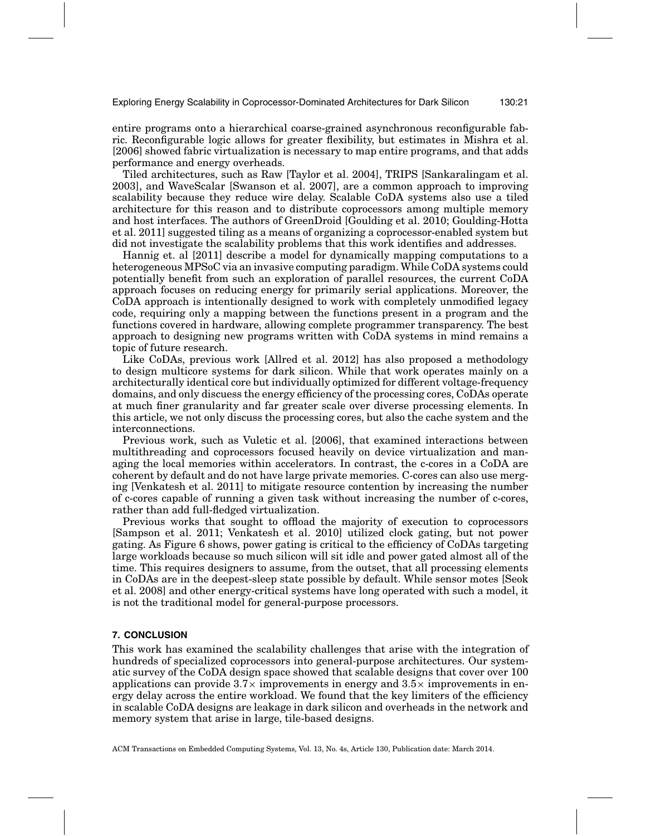Exploring Energy Scalability in Coprocessor-Dominated Architectures for Dark Silicon 130:21

entire programs onto a hierarchical coarse-grained asynchronous reconfigurable fabric. Reconfigurable logic allows for greater flexibility, but estimates in Mishra et al. [2006] showed fabric virtualization is necessary to map entire programs, and that adds performance and energy overheads.

Tiled architectures, such as Raw [Taylor et al. 2004], TRIPS [Sankaralingam et al. 2003], and WaveScalar [Swanson et al. 2007], are a common approach to improving scalability because they reduce wire delay. Scalable CoDA systems also use a tiled architecture for this reason and to distribute coprocessors among multiple memory and host interfaces. The authors of GreenDroid [Goulding et al. 2010; Goulding-Hotta et al. 2011] suggested tiling as a means of organizing a coprocessor-enabled system but did not investigate the scalability problems that this work identifies and addresses.

Hannig et. al [2011] describe a model for dynamically mapping computations to a heterogeneous MPSoC via an invasive computing paradigm. While CoDA systems could potentially benefit from such an exploration of parallel resources, the current CoDA approach focuses on reducing energy for primarily serial applications. Moreover, the CoDA approach is intentionally designed to work with completely unmodified legacy code, requiring only a mapping between the functions present in a program and the functions covered in hardware, allowing complete programmer transparency. The best approach to designing new programs written with CoDA systems in mind remains a topic of future research.

Like CoDAs, previous work [Allred et al. 2012] has also proposed a methodology to design multicore systems for dark silicon. While that work operates mainly on a architecturally identical core but individually optimized for different voltage-frequency domains, and only discuess the energy efficiency of the processing cores, CoDAs operate at much finer granularity and far greater scale over diverse processing elements. In this article, we not only discuss the processing cores, but also the cache system and the interconnections.

Previous work, such as Vuletic et al. [2006], that examined interactions between multithreading and coprocessors focused heavily on device virtualization and managing the local memories within accelerators. In contrast, the c-cores in a CoDA are coherent by default and do not have large private memories. C-cores can also use merging [Venkatesh et al. 2011] to mitigate resource contention by increasing the number of c-cores capable of running a given task without increasing the number of c-cores, rather than add full-fledged virtualization.

Previous works that sought to offload the majority of execution to coprocessors [Sampson et al. 2011; Venkatesh et al. 2010] utilized clock gating, but not power gating. As Figure 6 shows, power gating is critical to the efficiency of CoDAs targeting large workloads because so much silicon will sit idle and power gated almost all of the time. This requires designers to assume, from the outset, that all processing elements in CoDAs are in the deepest-sleep state possible by default. While sensor motes [Seok et al. 2008] and other energy-critical systems have long operated with such a model, it is not the traditional model for general-purpose processors.

## **7. CONCLUSION**

This work has examined the scalability challenges that arise with the integration of hundreds of specialized coprocessors into general-purpose architectures. Our systematic survey of the CoDA design space showed that scalable designs that cover over 100 applications can provide  $3.7\times$  improvements in energy and  $3.5\times$  improvements in energy delay across the entire workload. We found that the key limiters of the efficiency in scalable CoDA designs are leakage in dark silicon and overheads in the network and memory system that arise in large, tile-based designs.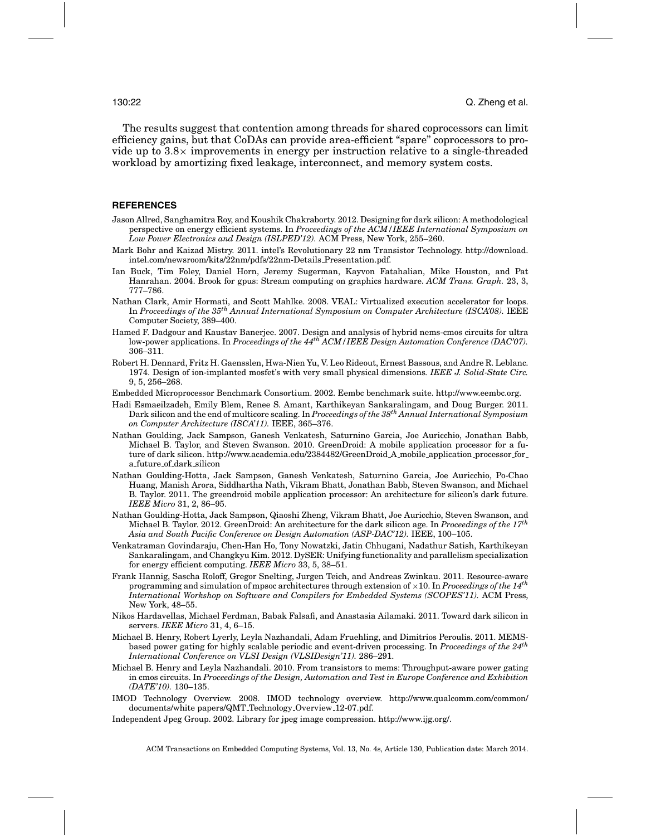The results suggest that contention among threads for shared coprocessors can limit efficiency gains, but that CoDAs can provide area-efficient "spare" coprocessors to provide up to  $3.8\times$  improvements in energy per instruction relative to a single-threaded workload by amortizing fixed leakage, interconnect, and memory system costs.

#### **REFERENCES**

- Jason Allred, Sanghamitra Roy, and Koushik Chakraborty. 2012. Designing for dark silicon: A methodological perspective on energy efficient systems. In *Proceedings of the ACM/IEEE International Symposium on Low Power Electronics and Design (ISLPED'12).* ACM Press, New York, 255–260.
- Mark Bohr and Kaizad Mistry. 2011. intel's Revolutionary 22 nm Transistor Technology. http://download. intel.com/newsroom/kits/22nm/pdfs/22nm-Details Presentation.pdf.
- Ian Buck, Tim Foley, Daniel Horn, Jeremy Sugerman, Kayvon Fatahalian, Mike Houston, and Pat Hanrahan. 2004. Brook for gpus: Stream computing on graphics hardware. *ACM Trans. Graph.* 23, 3, 777–786.
- Nathan Clark, Amir Hormati, and Scott Mahlke. 2008. VEAL: Virtualized execution accelerator for loops. In *Proceedings of the 35th Annual International Symposium on Computer Architecture (ISCA'08).* IEEE Computer Society, 389–400.
- Hamed F. Dadgour and Kaustav Banerjee. 2007. Design and analysis of hybrid nems-cmos circuits for ultra low-power applications. In *Proceedings of the 44th ACM/IEEE Design Automation Conference (DAC'07).* 306–311.
- Robert H. Dennard, Fritz H. Gaensslen, Hwa-Nien Yu, V. Leo Rideout, Ernest Bassous, and Andre R. Leblanc. 1974. Design of ion-implanted mosfet's with very small physical dimensions*. IEEE J. Solid-State Circ.* 9, 5, 256–268.
- Embedded Microprocessor Benchmark Consortium. 2002. Eembc benchmark suite. http://www.eembc.org.
- Hadi Esmaeilzadeh, Emily Blem, Renee S. Amant, Karthikeyan Sankaralingam, and Doug Burger. 2011. Dark silicon and the end of multicore scaling. In *Proceedings of the 38th Annual International Symposium on Computer Architecture (ISCA'11).* IEEE, 365–376.
- Nathan Goulding, Jack Sampson, Ganesh Venkatesh, Saturnino Garcia, Joe Auricchio, Jonathan Babb, Michael B. Taylor, and Steven Swanson. 2010. GreenDroid: A mobile application processor for a future of dark silicon. http://www.academia.edu/2384482/GreenDroid A mobile application processor for a future of dark silicon
- Nathan Goulding-Hotta, Jack Sampson, Ganesh Venkatesh, Saturnino Garcia, Joe Auricchio, Po-Chao Huang, Manish Arora, Siddhartha Nath, Vikram Bhatt, Jonathan Babb, Steven Swanson, and Michael B. Taylor. 2011. The greendroid mobile application processor: An architecture for silicon's dark future. *IEEE Micro* 31, 2, 86–95.
- Nathan Goulding-Hotta, Jack Sampson, Qiaoshi Zheng, Vikram Bhatt, Joe Auricchio, Steven Swanson, and Michael B. Taylor. 2012. GreenDroid: An architecture for the dark silicon age. In *Proceedings of the 17th Asia and South Pacific Conference on Design Automation (ASP-DAC'12).* IEEE, 100–105.
- Venkatraman Govindaraju, Chen-Han Ho, Tony Nowatzki, Jatin Chhugani, Nadathur Satish, Karthikeyan Sankaralingam, and Changkyu Kim. 2012. DySER: Unifying functionality and parallelism specialization for energy efficient computing. *IEEE Micro* 33, 5, 38–51.
- Frank Hannig, Sascha Roloff, Gregor Snelting, Jurgen Teich, and Andreas Zwinkau. 2011. Resource-aware programming and simulation of mpsoc architectures through extension of <sup>×</sup>10. In *Proceedings of the 14th International Workshop on Software and Compilers for Embedded Systems (SCOPES'11).* ACM Press, New York, 48–55.
- Nikos Hardavellas, Michael Ferdman, Babak Falsafi, and Anastasia Ailamaki. 2011. Toward dark silicon in servers. *IEEE Micro* 31, 4, 6–15.
- Michael B. Henry, Robert Lyerly, Leyla Nazhandali, Adam Fruehling, and Dimitrios Peroulis. 2011. MEMSbased power gating for highly scalable periodic and event-driven processing. In *Proceedings of the 24th International Conference on VLSI Design (VLSIDesign'11).* 286–291.
- Michael B. Henry and Leyla Nazhandali. 2010. From transistors to mems: Throughput-aware power gating in cmos circuits. In *Proceedings of the Design, Automation and Test in Europe Conference and Exhibition (DATE'10).* 130–135.
- IMOD Technology Overview. 2008. IMOD technology overview. http://www.qualcomm.com/common/ documents/white papers/QMT Technology Overview 12-07.pdf.
- Independent Jpeg Group. 2002. Library for jpeg image compression. http://www.ijg.org/.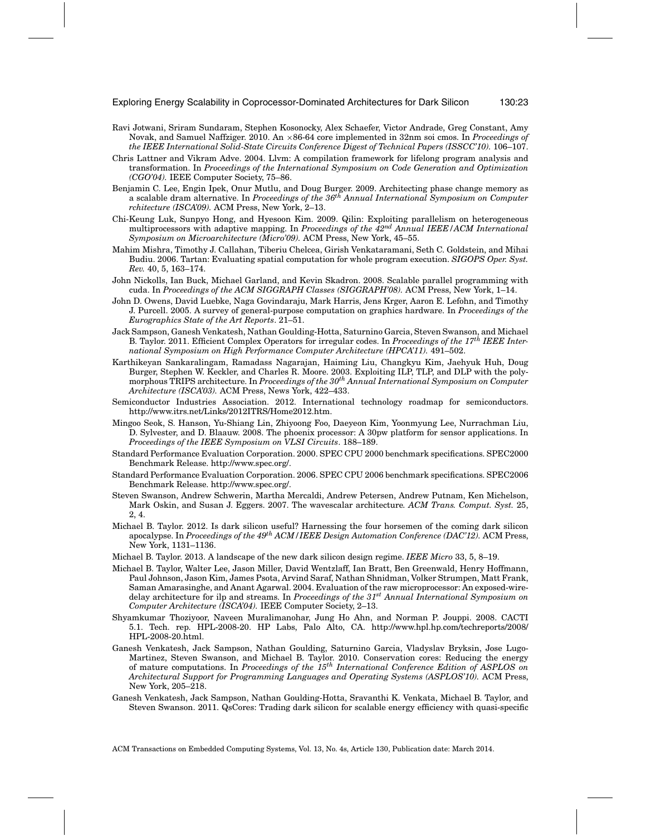- Ravi Jotwani, Sriram Sundaram, Stephen Kosonocky, Alex Schaefer, Victor Andrade, Greg Constant, Amy Novak, and Samuel Naffziger. 2010. An ×86-64 core implemented in 32nm soi cmos. In *Proceedings of the IEEE International Solid-State Circuits Conference Digest of Technical Papers (ISSCC'10).* 106–107.
- Chris Lattner and Vikram Adve. 2004. Llvm: A compilation framework for lifelong program analysis and transformation. In *Proceedings of the International Symposium on Code Generation and Optimization (CGO'04).* IEEE Computer Society, 75–86.
- Benjamin C. Lee, Engin Ipek, Onur Mutlu, and Doug Burger. 2009. Architecting phase change memory as a scalable dram alternative. In *Proceedings of the 36th Annual International Symposium on Computer rchitecture (ISCA'09).* ACM Press, New York, 2–13.
- Chi-Keung Luk, Sunpyo Hong, and Hyesoon Kim. 2009. Qilin: Exploiting parallelism on heterogeneous multiprocessors with adaptive mapping. In *Proceedings of the 42nd Annual IEEE/ACM International Symposium on Microarchitecture (Micro'09).* ACM Press, New York, 45–55.
- Mahim Mishra, Timothy J. Callahan, Tiberiu Chelcea, Girish Venkataramani, Seth C. Goldstein, and Mihai Budiu. 2006. Tartan: Evaluating spatial computation for whole program execution. *SIGOPS Oper. Syst. Rev.* 40, 5, 163–174.
- John Nickolls, Ian Buck, Michael Garland, and Kevin Skadron. 2008. Scalable parallel programming with cuda. In *Proceedings of the ACM SIGGRAPH Classes (SIGGRAPH'08).* ACM Press, New York, 1–14.
- John D. Owens, David Luebke, Naga Govindaraju, Mark Harris, Jens Krger, Aaron E. Lefohn, and Timothy J. Purcell. 2005. A survey of general-purpose computation on graphics hardware. In *Proceedings of the Eurographics State of the Art Reports*. 21–51.
- Jack Sampson, Ganesh Venkatesh, Nathan Goulding-Hotta, Saturnino Garcia, Steven Swanson, and Michael B. Taylor. 2011. Efficient Complex Operators for irregular codes. In *Proceedings of the 17th IEEE International Symposium on High Performance Computer Architecture (HPCA'11).* 491–502.
- Karthikeyan Sankaralingam, Ramadass Nagarajan, Haiming Liu, Changkyu Kim, Jaehyuk Huh, Doug Burger, Stephen W. Keckler, and Charles R. Moore. 2003. Exploiting ILP, TLP, and DLP with the polymorphous TRIPS architecture. In *Proceedings of the 30th Annual International Symposium on Computer Architecture (ISCA'03).* ACM Press, News York, 422–433.
- Semiconductor Industries Association. 2012. International technology roadmap for semiconductors. http://www.itrs.net/Links/2012ITRS/Home2012.htm.
- Mingoo Seok, S. Hanson, Yu-Shiang Lin, Zhiyoong Foo, Daeyeon Kim, Yoonmyung Lee, Nurrachman Liu, D. Sylvester, and D. Blaauw. 2008. The phoenix processor: A 30pw platform for sensor applications. In *Proceedings of the IEEE Symposium on VLSI Circuits*. 188–189.
- Standard Performance Evaluation Corporation. 2000. SPEC CPU 2000 benchmark specifications. SPEC2000 Benchmark Release. http://www.spec.org/.
- Standard Performance Evaluation Corporation. 2006. SPEC CPU 2006 benchmark specifications. SPEC2006 Benchmark Release. http://www.spec.org/.
- Steven Swanson, Andrew Schwerin, Martha Mercaldi, Andrew Petersen, Andrew Putnam, Ken Michelson, Mark Oskin, and Susan J. Eggers. 2007. The wavescalar architecture*. ACM Trans. Comput. Syst.* 25, 2, 4.
- Michael B. Taylor. 2012. Is dark silicon useful? Harnessing the four horsemen of the coming dark silicon apocalypse. In *Proceedings of the 49th ACM/IEEE Design Automation Conference (DAC'12).* ACM Press, New York, 1131–1136.
- Michael B. Taylor. 2013. A landscape of the new dark silicon design regime. *IEEE Micro* 33, 5, 8–19.
- Michael B. Taylor, Walter Lee, Jason Miller, David Wentzlaff, Ian Bratt, Ben Greenwald, Henry Hoffmann, Paul Johnson, Jason Kim, James Psota, Arvind Saraf, Nathan Shnidman, Volker Strumpen, Matt Frank, Saman Amarasinghe, and Anant Agarwal. 2004. Evaluation of the raw microprocessor: An exposed-wiredelay architecture for ilp and streams. In *Proceedings of the 31st Annual International Symposium on Computer Architecture (ISCA'04).* IEEE Computer Society, 2–13.
- Shyamkumar Thoziyoor, Naveen Muralimanohar, Jung Ho Ahn, and Norman P. Jouppi. 2008. CACTI 5.1. Tech. rep. HPL-2008-20. HP Labs, Palo Alto, CA. http://www.hpl.hp.com/techreports/2008/ HPL-2008-20.html.
- Ganesh Venkatesh, Jack Sampson, Nathan Goulding, Saturnino Garcia, Vladyslav Bryksin, Jose Lugo-Martinez, Steven Swanson, and Michael B. Taylor. 2010. Conservation cores: Reducing the energy of mature computations. In *Proceedings of the 15th International Conference Edition of ASPLOS on Architectural Support for Programming Languages and Operating Systems (ASPLOS'10).* ACM Press, New York, 205–218.
- Ganesh Venkatesh, Jack Sampson, Nathan Goulding-Hotta, Sravanthi K. Venkata, Michael B. Taylor, and Steven Swanson. 2011. QsCores: Trading dark silicon for scalable energy efficiency with quasi-specific